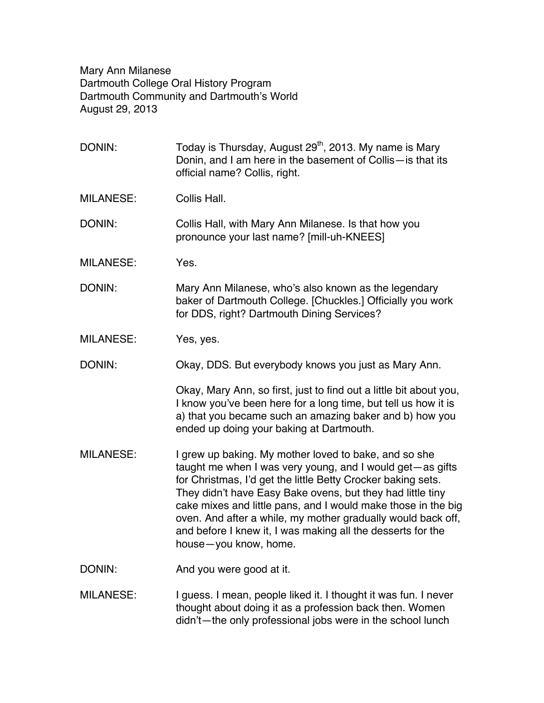Mary Ann Milanese Dartmouth College Oral History Program Dartmouth Community and Dartmouth's World August 29, 2013

| DONIN:           | Today is Thursday, August 29 <sup>th</sup> , 2013. My name is Mary<br>Donin, and I am here in the basement of Collis-is that its<br>official name? Collis, right.                                                                                                                                                                                                                                                                                                         |
|------------------|---------------------------------------------------------------------------------------------------------------------------------------------------------------------------------------------------------------------------------------------------------------------------------------------------------------------------------------------------------------------------------------------------------------------------------------------------------------------------|
| <b>MILANESE:</b> | Collis Hall.                                                                                                                                                                                                                                                                                                                                                                                                                                                              |
| DONIN:           | Collis Hall, with Mary Ann Milanese. Is that how you<br>pronounce your last name? [mill-uh-KNEES]                                                                                                                                                                                                                                                                                                                                                                         |
| <b>MILANESE:</b> | Yes.                                                                                                                                                                                                                                                                                                                                                                                                                                                                      |
| DONIN:           | Mary Ann Milanese, who's also known as the legendary<br>baker of Dartmouth College. [Chuckles.] Officially you work<br>for DDS, right? Dartmouth Dining Services?                                                                                                                                                                                                                                                                                                         |
| <b>MILANESE:</b> | Yes, yes.                                                                                                                                                                                                                                                                                                                                                                                                                                                                 |
| DONIN:           | Okay, DDS. But everybody knows you just as Mary Ann.                                                                                                                                                                                                                                                                                                                                                                                                                      |
|                  | Okay, Mary Ann, so first, just to find out a little bit about you,<br>I know you've been here for a long time, but tell us how it is<br>a) that you became such an amazing baker and b) how you<br>ended up doing your baking at Dartmouth.                                                                                                                                                                                                                               |
| <b>MILANESE:</b> | I grew up baking. My mother loved to bake, and so she<br>taught me when I was very young, and I would get—as gifts<br>for Christmas, I'd get the little Betty Crocker baking sets.<br>They didn't have Easy Bake ovens, but they had little tiny<br>cake mixes and little pans, and I would make those in the big<br>oven. And after a while, my mother gradually would back off,<br>and before I knew it, I was making all the desserts for the<br>house-you know, home. |
| DONIN:           | And you were good at it.                                                                                                                                                                                                                                                                                                                                                                                                                                                  |
| <b>MILANESE:</b> | I guess. I mean, people liked it. I thought it was fun. I never<br>thought about doing it as a profession back then. Women<br>didn't-the only professional jobs were in the school lunch                                                                                                                                                                                                                                                                                  |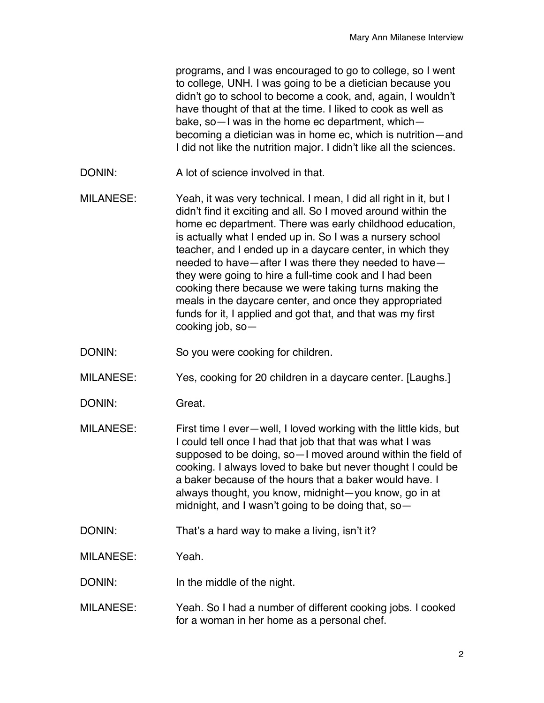programs, and I was encouraged to go to college, so I went to college, UNH. I was going to be a dietician because you didn't go to school to become a cook, and, again, I wouldn't have thought of that at the time. I liked to cook as well as bake, so—I was in the home ec department, which becoming a dietician was in home ec, which is nutrition—and I did not like the nutrition major. I didn't like all the sciences.

- DONIN: A lot of science involved in that.
- MILANESE: Yeah, it was very technical. I mean, I did all right in it, but I didn't find it exciting and all. So I moved around within the home ec department. There was early childhood education, is actually what I ended up in. So I was a nursery school teacher, and I ended up in a daycare center, in which they needed to have—after I was there they needed to have they were going to hire a full-time cook and I had been cooking there because we were taking turns making the meals in the daycare center, and once they appropriated funds for it, I applied and got that, and that was my first cooking job, so—
- DONIN: So you were cooking for children.
- MILANESE: Yes, cooking for 20 children in a daycare center. [Laughs.]
- DONIN: Great.
- MILANESE: First time I ever—well, I loved working with the little kids, but I could tell once I had that job that that was what I was supposed to be doing, so—I moved around within the field of cooking. I always loved to bake but never thought I could be a baker because of the hours that a baker would have. I always thought, you know, midnight—you know, go in at midnight, and I wasn't going to be doing that, so—
- DONIN: That's a hard way to make a living, isn't it?
- MILANESE: Yeah.
- DONIN: In the middle of the night.
- MILANESE: Yeah. So I had a number of different cooking jobs. I cooked for a woman in her home as a personal chef.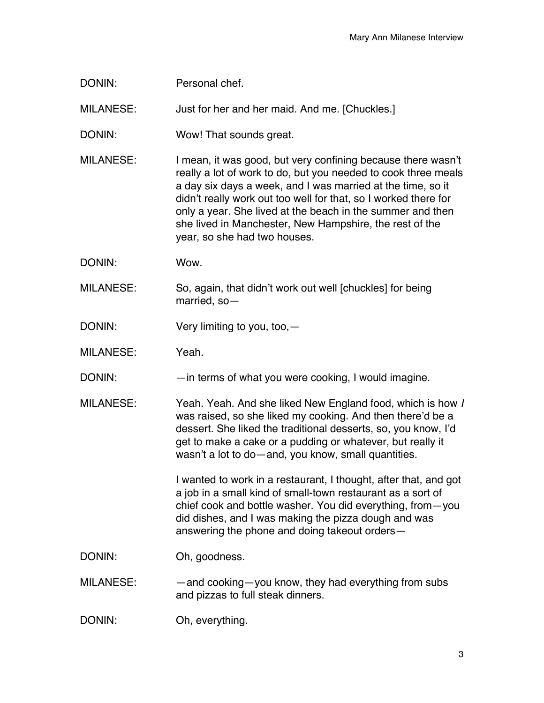DONIN: Personal chef.

MILANESE: Just for her and her maid. And me. [Chuckles.]

DONIN: Wow! That sounds great.

MILANESE: I mean, it was good, but very confining because there wasn't really a lot of work to do, but you needed to cook three meals a day six days a week, and I was married at the time, so it didn't really work out too well for that, so I worked there for only a year. She lived at the beach in the summer and then she lived in Manchester, New Hampshire, the rest of the year, so she had two houses.

DONIN: Wow.

MILANESE: So, again, that didn't work out well [chuckles] for being married, so—

DONIN: Very limiting to you, too, -

MILANESE: Yeah.

DONIN: — — — in terms of what you were cooking, I would imagine.

MILANESE: Yeah. Yeah. And she liked New England food, which is how *I* was raised, so she liked my cooking. And then there'd be a dessert. She liked the traditional desserts, so, you know, I'd get to make a cake or a pudding or whatever, but really it wasn't a lot to do—and, you know, small quantities.

> I wanted to work in a restaurant, I thought, after that, and got a job in a small kind of small-town restaurant as a sort of chief cook and bottle washer. You did everything, from—you did dishes, and I was making the pizza dough and was answering the phone and doing takeout orders—

DONIN: Oh, goodness.

MILANESE: — —and cooking—you know, they had everything from subs and pizzas to full steak dinners.

DONIN: Oh, everything.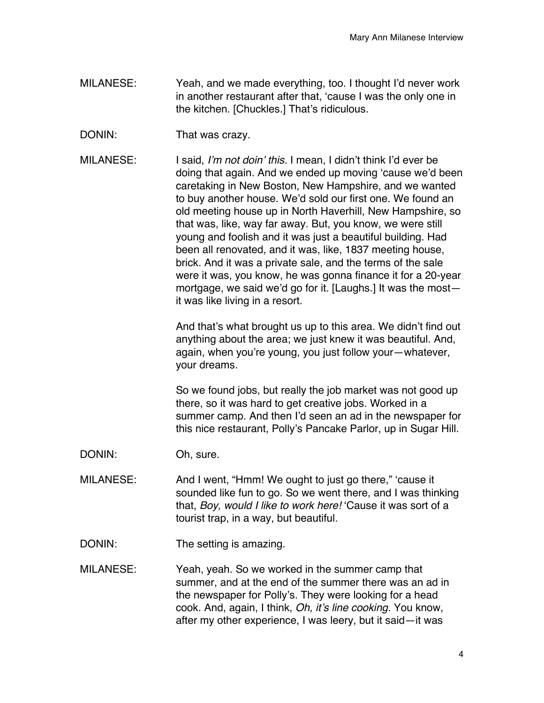- MILANESE: Yeah, and we made everything, too. I thought I'd never work in another restaurant after that, 'cause I was the only one in the kitchen. [Chuckles.] That's ridiculous.
- DONIN: That was crazy.
- MILANESE: I said, *I'm not doin' this.* I mean, I didn't think I'd ever be doing that again. And we ended up moving 'cause we'd been caretaking in New Boston, New Hampshire, and we wanted to buy another house. We'd sold our first one. We found an old meeting house up in North Haverhill, New Hampshire, so that was, like, way far away. But, you know, we were still young and foolish and it was just a beautiful building. Had been all renovated, and it was, like, 1837 meeting house, brick. And it was a private sale, and the terms of the sale were it was, you know, he was gonna finance it for a 20-year mortgage, we said we'd go for it. [Laughs.] It was the most it was like living in a resort.

And that's what brought us up to this area. We didn't find out anything about the area; we just knew it was beautiful. And, again, when you're young, you just follow your—whatever, your dreams.

So we found jobs, but really the job market was not good up there, so it was hard to get creative jobs. Worked in a summer camp. And then I'd seen an ad in the newspaper for this nice restaurant, Polly's Pancake Parlor, up in Sugar Hill.

- DONIN: Oh, sure.
- MILANESE: And I went, "Hmm! We ought to just go there," 'cause it sounded like fun to go. So we went there, and I was thinking that, *Boy, would I like to work here!* 'Cause it was sort of a tourist trap, in a way, but beautiful.
- DONIN: The setting is amazing.
- MILANESE: Yeah, yeah. So we worked in the summer camp that summer, and at the end of the summer there was an ad in the newspaper for Polly's. They were looking for a head cook. And, again, I think, *Oh, it's line cooking.* You know, after my other experience, I was leery, but it said—it was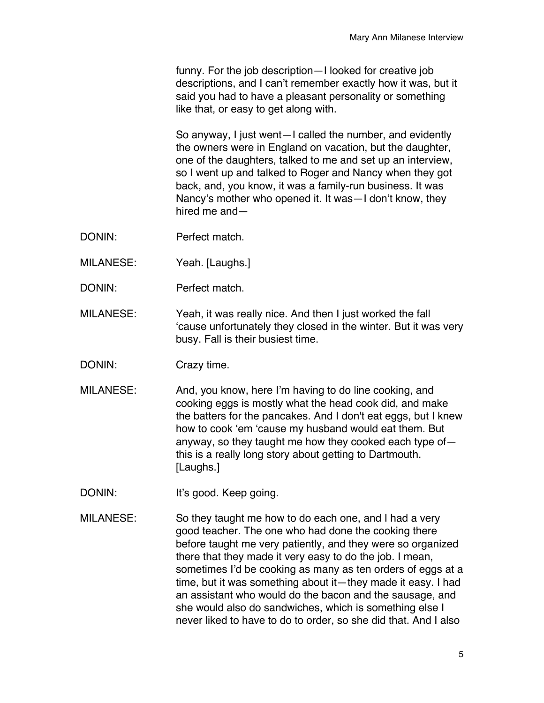funny. For the job description—I looked for creative job descriptions, and I can't remember exactly how it was, but it said you had to have a pleasant personality or something like that, or easy to get along with.

So anyway, I just went—I called the number, and evidently the owners were in England on vacation, but the daughter, one of the daughters, talked to me and set up an interview, so I went up and talked to Roger and Nancy when they got back, and, you know, it was a family-run business. It was Nancy's mother who opened it. It was—I don't know, they hired me and—

- DONIN: Perfect match.
- MILANESE: Yeah. [Laughs.]
- DONIN: Perfect match.
- MILANESE: Yeah, it was really nice. And then I just worked the fall 'cause unfortunately they closed in the winter. But it was very busy. Fall is their busiest time.
- DONIN: Crazy time.
- MILANESE: And, you know, here I'm having to do line cooking, and cooking eggs is mostly what the head cook did, and make the batters for the pancakes. And I don't eat eggs, but I knew how to cook 'em 'cause my husband would eat them. But anyway, so they taught me how they cooked each type of this is a really long story about getting to Dartmouth. [Laughs.]
- DONIN: It's good. Keep going.
- MILANESE: So they taught me how to do each one, and I had a very good teacher. The one who had done the cooking there before taught me very patiently, and they were so organized there that they made it very easy to do the job. I mean, sometimes I'd be cooking as many as ten orders of eggs at a time, but it was something about it—they made it easy. I had an assistant who would do the bacon and the sausage, and she would also do sandwiches, which is something else I never liked to have to do to order, so she did that. And I also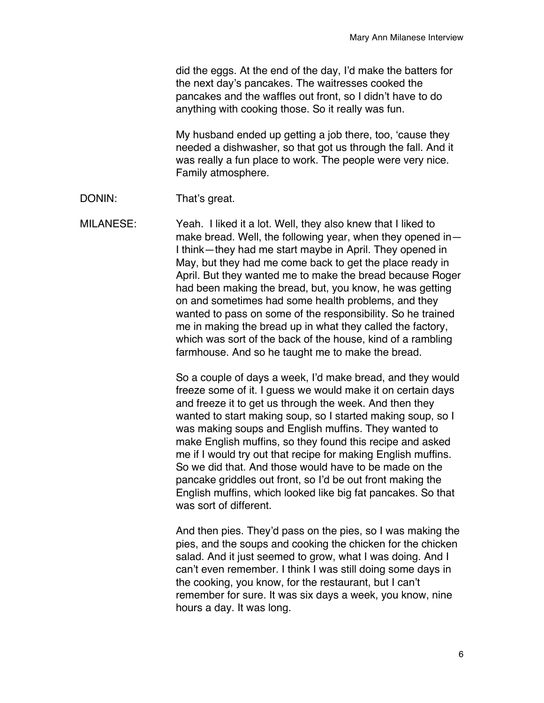did the eggs. At the end of the day, I'd make the batters for the next day's pancakes. The waitresses cooked the pancakes and the waffles out front, so I didn't have to do anything with cooking those. So it really was fun.

My husband ended up getting a job there, too, 'cause they needed a dishwasher, so that got us through the fall. And it was really a fun place to work. The people were very nice. Family atmosphere.

DONIN: That's great.

MILANESE: Yeah. I liked it a lot. Well, they also knew that I liked to make bread. Well, the following year, when they opened in— I think—they had me start maybe in April. They opened in May, but they had me come back to get the place ready in April. But they wanted me to make the bread because Roger had been making the bread, but, you know, he was getting on and sometimes had some health problems, and they wanted to pass on some of the responsibility. So he trained me in making the bread up in what they called the factory, which was sort of the back of the house, kind of a rambling farmhouse. And so he taught me to make the bread.

> So a couple of days a week, I'd make bread, and they would freeze some of it. I guess we would make it on certain days and freeze it to get us through the week. And then they wanted to start making soup, so I started making soup, so I was making soups and English muffins. They wanted to make English muffins, so they found this recipe and asked me if I would try out that recipe for making English muffins. So we did that. And those would have to be made on the pancake griddles out front, so I'd be out front making the English muffins, which looked like big fat pancakes. So that was sort of different.

> And then pies. They'd pass on the pies, so I was making the pies, and the soups and cooking the chicken for the chicken salad. And it just seemed to grow, what I was doing. And I can't even remember. I think I was still doing some days in the cooking, you know, for the restaurant, but I can't remember for sure. It was six days a week, you know, nine hours a day. It was long.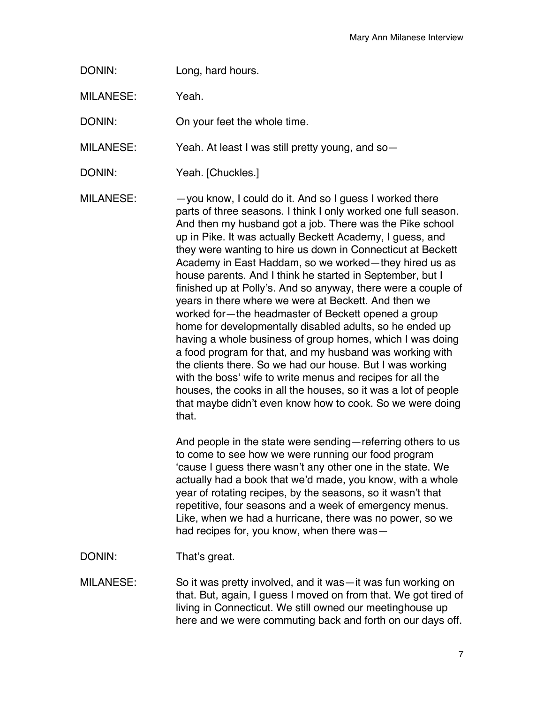DONIN: Long, hard hours.

MILANESE: Yeah.

DONIN: On your feet the whole time.

MILANESE: Yeah. At least I was still pretty young, and so—

DONIN: Yeah. [Chuckles.]

 $MILANESE:$   $-$ you know, I could do it. And so I guess I worked there parts of three seasons. I think I only worked one full season. And then my husband got a job. There was the Pike school up in Pike. It was actually Beckett Academy, I guess, and they were wanting to hire us down in Connecticut at Beckett Academy in East Haddam, so we worked—they hired us as house parents. And I think he started in September, but I finished up at Polly's. And so anyway, there were a couple of years in there where we were at Beckett. And then we worked for—the headmaster of Beckett opened a group home for developmentally disabled adults, so he ended up having a whole business of group homes, which I was doing a food program for that, and my husband was working with the clients there. So we had our house. But I was working with the boss' wife to write menus and recipes for all the houses, the cooks in all the houses, so it was a lot of people that maybe didn't even know how to cook. So we were doing that.

> And people in the state were sending—referring others to us to come to see how we were running our food program 'cause I guess there wasn't any other one in the state. We actually had a book that we'd made, you know, with a whole year of rotating recipes, by the seasons, so it wasn't that repetitive, four seasons and a week of emergency menus. Like, when we had a hurricane, there was no power, so we had recipes for, you know, when there was—

- DONIN: That's great.
- MILANESE: So it was pretty involved, and it was—it was fun working on that. But, again, I guess I moved on from that. We got tired of living in Connecticut. We still owned our meetinghouse up here and we were commuting back and forth on our days off.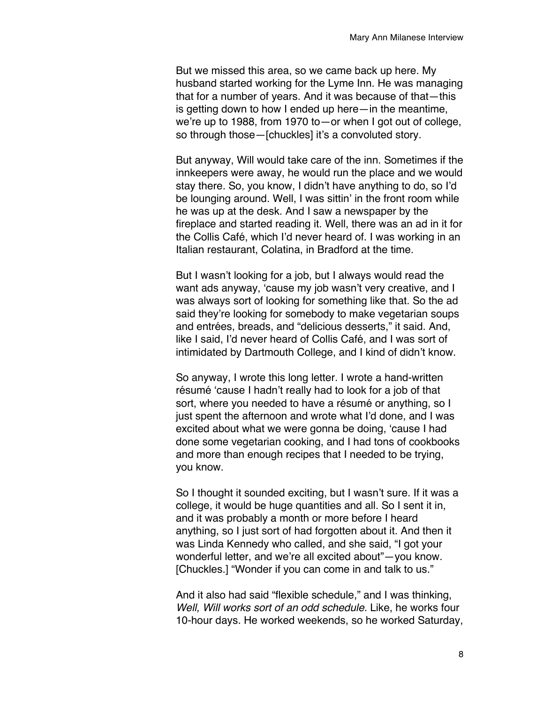But we missed this area, so we came back up here. My husband started working for the Lyme Inn. He was managing that for a number of years. And it was because of that—this is getting down to how I ended up here—in the meantime, we're up to 1988, from 1970 to—or when I got out of college, so through those-[chuckles] it's a convoluted story.

But anyway, Will would take care of the inn. Sometimes if the innkeepers were away, he would run the place and we would stay there. So, you know, I didn't have anything to do, so I'd be lounging around. Well, I was sittin' in the front room while he was up at the desk. And I saw a newspaper by the fireplace and started reading it. Well, there was an ad in it for the Collis Café, which I'd never heard of. I was working in an Italian restaurant, Colatina, in Bradford at the time.

But I wasn't looking for a job, but I always would read the want ads anyway, 'cause my job wasn't very creative, and I was always sort of looking for something like that. So the ad said they're looking for somebody to make vegetarian soups and entrées, breads, and "delicious desserts," it said. And, like I said, I'd never heard of Collis Café, and I was sort of intimidated by Dartmouth College, and I kind of didn't know.

So anyway, I wrote this long letter. I wrote a hand-written résumé 'cause I hadn't really had to look for a job of that sort, where you needed to have a résumé or anything, so I just spent the afternoon and wrote what I'd done, and I was excited about what we were gonna be doing, 'cause I had done some vegetarian cooking, and I had tons of cookbooks and more than enough recipes that I needed to be trying, you know.

So I thought it sounded exciting, but I wasn't sure. If it was a college, it would be huge quantities and all. So I sent it in, and it was probably a month or more before I heard anything, so I just sort of had forgotten about it. And then it was Linda Kennedy who called, and she said, "I got your wonderful letter, and we're all excited about"—you know. [Chuckles.] "Wonder if you can come in and talk to us."

And it also had said "flexible schedule," and I was thinking, *Well, Will works sort of an odd schedule.* Like, he works four 10-hour days. He worked weekends, so he worked Saturday,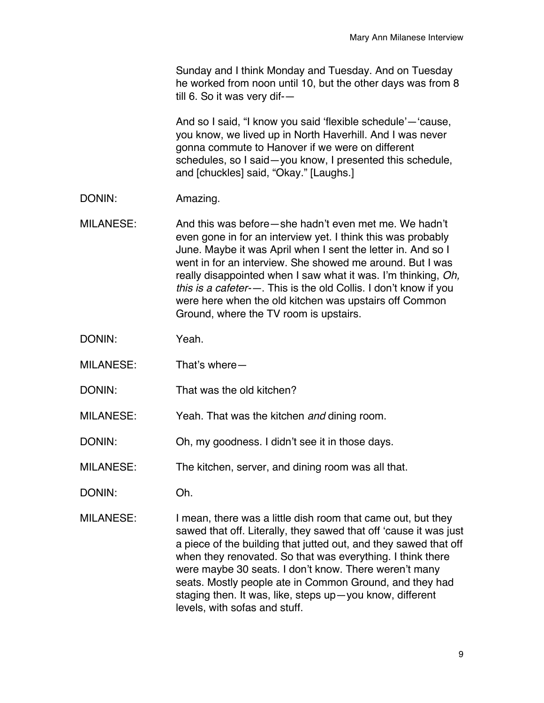Sunday and I think Monday and Tuesday. And on Tuesday he worked from noon until 10, but the other days was from 8 till 6. So it was very dif-—

And so I said, "I know you said 'flexible schedule'—'cause, you know, we lived up in North Haverhill. And I was never gonna commute to Hanover if we were on different schedules, so I said—you know, I presented this schedule, and [chuckles] said, "Okay." [Laughs.]

- DONIN: Amazing.
- MILANESE: And this was before—she hadn't even met me. We hadn't even gone in for an interview yet. I think this was probably June. Maybe it was April when I sent the letter in. And so I went in for an interview. She showed me around. But I was really disappointed when I saw what it was. I'm thinking, *Oh, this is a cafeter-—*. This is the old Collis. I don't know if you were here when the old kitchen was upstairs off Common Ground, where the TV room is upstairs.
- DONIN: Yeah.
- MILANESE: That's where—
- DONIN: That was the old kitchen?
- MILANESE: Yeah. That was the kitchen *and* dining room.
- DONIN: Oh, my goodness. I didn't see it in those days.
- MILANESE: The kitchen, server, and dining room was all that.
- DONIN: Oh.
- MILANESE: I mean, there was a little dish room that came out, but they sawed that off. Literally, they sawed that off 'cause it was just a piece of the building that jutted out, and they sawed that off when they renovated. So that was everything. I think there were maybe 30 seats. I don't know. There weren't many seats. Mostly people ate in Common Ground, and they had staging then. It was, like, steps up—you know, different levels, with sofas and stuff.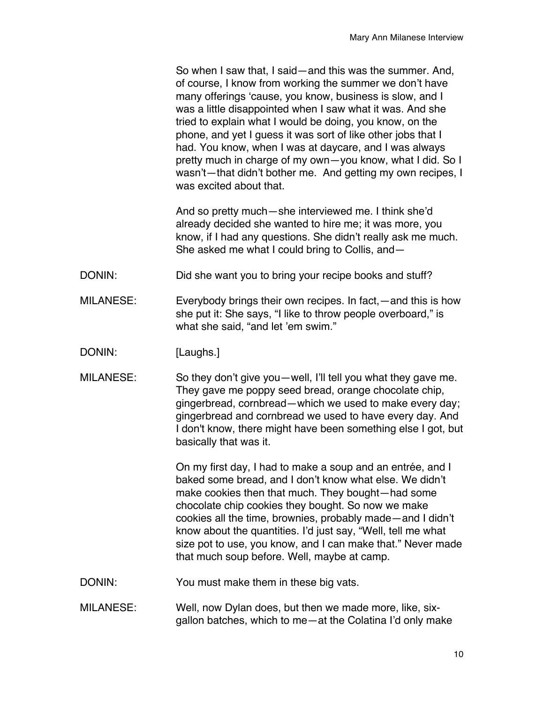So when I saw that, I said—and this was the summer. And, of course, I know from working the summer we don't have many offerings 'cause, you know, business is slow, and I was a little disappointed when I saw what it was. And she tried to explain what I would be doing, you know, on the phone, and yet I guess it was sort of like other jobs that I had. You know, when I was at daycare, and I was always pretty much in charge of my own—you know, what I did. So I wasn't—that didn't bother me. And getting my own recipes, I was excited about that.

And so pretty much—she interviewed me. I think she'd already decided she wanted to hire me; it was more, you know, if I had any questions. She didn't really ask me much. She asked me what I could bring to Collis, and—

- DONIN: Did she want you to bring your recipe books and stuff?
- MILANESE: Everybody brings their own recipes. In fact,—and this is how she put it: She says, "I like to throw people overboard," is what she said, "and let 'em swim."
- DONIN: [Laughs.]
- MILANESE: So they don't give you—well, I'll tell you what they gave me. They gave me poppy seed bread, orange chocolate chip, gingerbread, cornbread—which we used to make every day; gingerbread and cornbread we used to have every day. And I don't know, there might have been something else I got, but basically that was it.

On my first day, I had to make a soup and an entrée, and I baked some bread, and I don't know what else. We didn't make cookies then that much. They bought—had some chocolate chip cookies they bought. So now we make cookies all the time, brownies, probably made—and I didn't know about the quantities. I'd just say, "Well, tell me what size pot to use, you know, and I can make that." Never made that much soup before. Well, maybe at camp.

- DONIN: You must make them in these big vats.
- MILANESE: Well, now Dylan does, but then we made more, like, sixgallon batches, which to me—at the Colatina I'd only make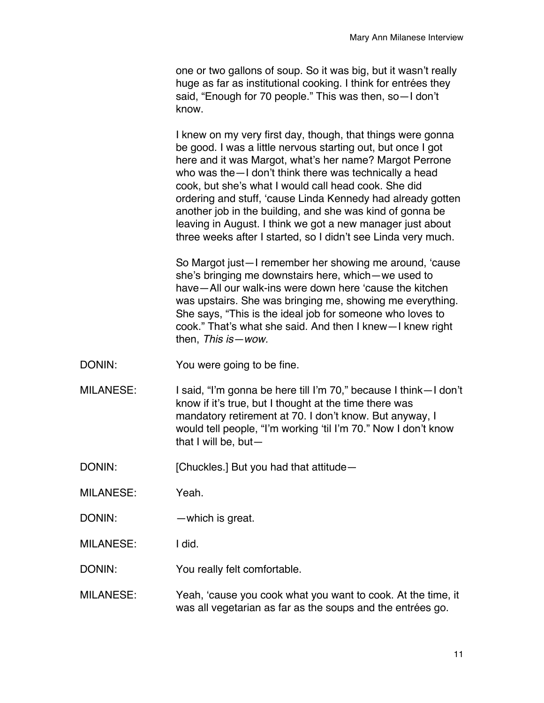one or two gallons of soup. So it was big, but it wasn't really huge as far as institutional cooking. I think for entrées they said, "Enough for 70 people." This was then, so—I don't know.

I knew on my very first day, though, that things were gonna be good. I was a little nervous starting out, but once I got here and it was Margot, what's her name? Margot Perrone who was the—I don't think there was technically a head cook, but she's what I would call head cook. She did ordering and stuff, 'cause Linda Kennedy had already gotten another job in the building, and she was kind of gonna be leaving in August. I think we got a new manager just about three weeks after I started, so I didn't see Linda very much.

So Margot just—I remember her showing me around, 'cause she's bringing me downstairs here, which—we used to have—All our walk-ins were down here 'cause the kitchen was upstairs. She was bringing me, showing me everything. She says, "This is the ideal job for someone who loves to cook." That's what she said. And then I knew—I knew right then, *This is—wow.*

- DONIN: You were going to be fine.
- MILANESE: I said, "I'm gonna be here till I'm 70," because I think—I don't know if it's true, but I thought at the time there was mandatory retirement at 70. I don't know. But anyway, I would tell people, "I'm working 'til I'm 70." Now I don't know that I will be, but—

DONIN: [Chuckles.] But you had that attitude—

MILANESE: Yeah.

DONIN: — — which is great.

MILANESE: I did.

DONIN: You really felt comfortable.

MILANESE: Yeah, 'cause you cook what you want to cook. At the time, it was all vegetarian as far as the soups and the entrées go.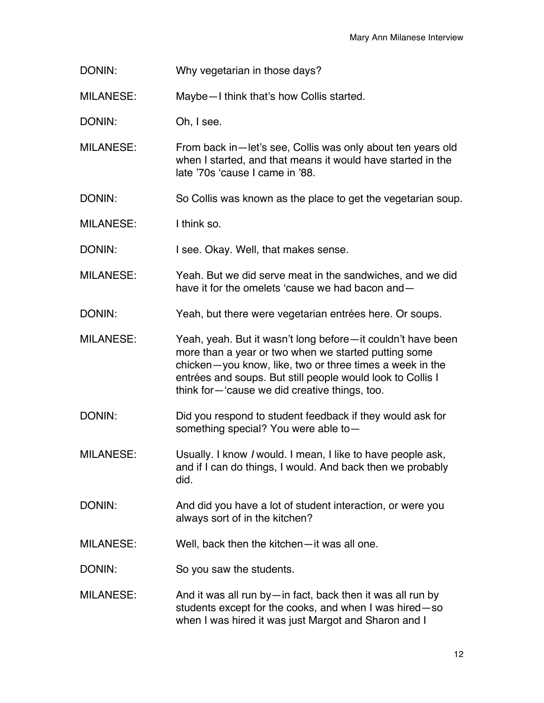DONIN: Why vegetarian in those days?

MILANESE: Maybe—I think that's how Collis started.

DONIN: Oh, I see.

MILANESE: From back in—let's see, Collis was only about ten years old when I started, and that means it would have started in the late '70s 'cause I came in '88.

DONIN: So Collis was known as the place to get the vegetarian soup.

MILANESE: I think so.

DONIN: I see. Okay. Well, that makes sense.

- MILANESE: Yeah. But we did serve meat in the sandwiches, and we did have it for the omelets 'cause we had bacon and—
- DONIN: Yeah, but there were vegetarian entrées here. Or soups.
- MILANESE: Yeah, yeah. But it wasn't long before—it couldn't have been more than a year or two when we started putting some chicken—you know, like, two or three times a week in the entrées and soups. But still people would look to Collis I think for—'cause we did creative things, too.
- DONIN: Did you respond to student feedback if they would ask for something special? You were able to—
- MILANESE: Usually. I know *I* would. I mean, I like to have people ask, and if I can do things, I would. And back then we probably did.
- DONIN: And did you have a lot of student interaction, or were you always sort of in the kitchen?
- MILANESE: Well, back then the kitchen—it was all one.

DONIN: So you saw the students.

MILANESE: And it was all run by—in fact, back then it was all run by students except for the cooks, and when I was hired—so when I was hired it was just Margot and Sharon and I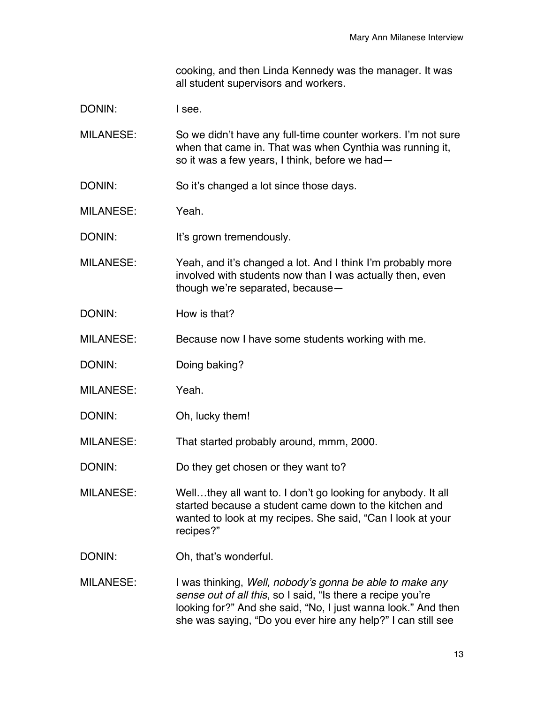cooking, and then Linda Kennedy was the manager. It was all student supervisors and workers.

DONIN: I see.

MILANESE: So we didn't have any full-time counter workers. I'm not sure when that came in. That was when Cynthia was running it, so it was a few years, I think, before we had—

DONIN: So it's changed a lot since those days.

MILANESE: Yeah.

DONIN: It's grown tremendously.

MILANESE: Yeah, and it's changed a lot. And I think I'm probably more involved with students now than I was actually then, even though we're separated, because—

DONIN: How is that?

MILANESE: Because now I have some students working with me.

- DONIN: Doing baking?
- MILANESE: Yeah.
- DONIN: Oh, lucky them!

MILANESE: That started probably around, mmm, 2000.

DONIN: Do they get chosen or they want to?

MILANESE: Well…they all want to. I don't go looking for anybody. It all started because a student came down to the kitchen and wanted to look at my recipes. She said, "Can I look at your recipes?"

- DONIN: Oh, that's wonderful.
- MILANESE: I was thinking, *Well, nobody's gonna be able to make any sense out of all this*, so I said, "Is there a recipe you're looking for?" And she said, "No, I just wanna look." And then she was saying, "Do you ever hire any help?" I can still see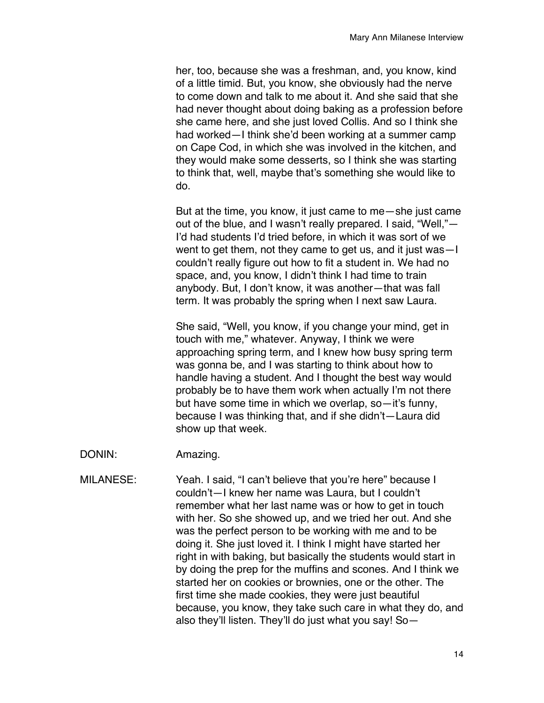her, too, because she was a freshman, and, you know, kind of a little timid. But, you know, she obviously had the nerve to come down and talk to me about it. And she said that she had never thought about doing baking as a profession before she came here, and she just loved Collis. And so I think she had worked—I think she'd been working at a summer camp on Cape Cod, in which she was involved in the kitchen, and they would make some desserts, so I think she was starting to think that, well, maybe that's something she would like to do.

But at the time, you know, it just came to me—she just came out of the blue, and I wasn't really prepared. I said, "Well,"— I'd had students I'd tried before, in which it was sort of we went to get them, not they came to get us, and it just was—I couldn't really figure out how to fit a student in. We had no space, and, you know, I didn't think I had time to train anybody. But, I don't know, it was another—that was fall term. It was probably the spring when I next saw Laura.

She said, "Well, you know, if you change your mind, get in touch with me," whatever. Anyway, I think we were approaching spring term, and I knew how busy spring term was gonna be, and I was starting to think about how to handle having a student. And I thought the best way would probably be to have them work when actually I'm not there but have some time in which we overlap, so—it's funny, because I was thinking that, and if she didn't—Laura did show up that week.

- DONIN: Amazing.
- MILANESE: Yeah. I said, "I can't believe that you're here" because I couldn't—I knew her name was Laura, but I couldn't remember what her last name was or how to get in touch with her. So she showed up, and we tried her out. And she was the perfect person to be working with me and to be doing it. She just loved it. I think I might have started her right in with baking, but basically the students would start in by doing the prep for the muffins and scones. And I think we started her on cookies or brownies, one or the other. The first time she made cookies, they were just beautiful because, you know, they take such care in what they do, and also they'll listen. They'll do just what you say! So—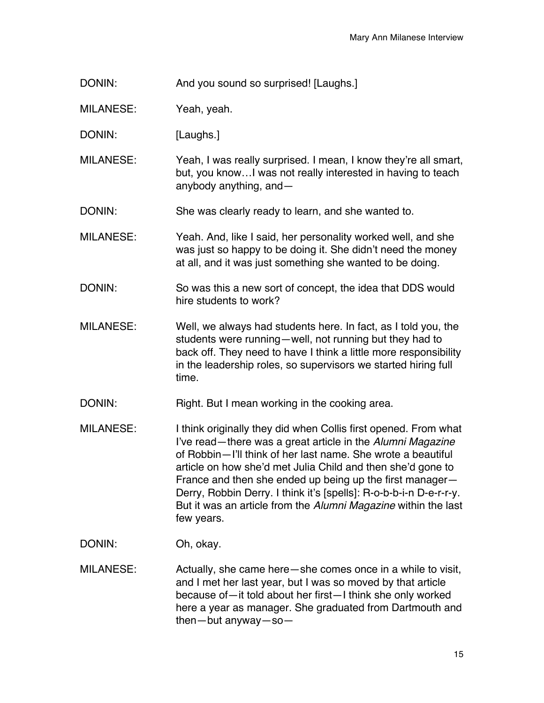DONIN: And you sound so surprised! [Laughs.]

MILANESE: Yeah, yeah.

DONIN: [Laughs.]

MILANESE: Yeah, I was really surprised. I mean, I know they're all smart, but, you know…I was not really interested in having to teach anybody anything, and—

DONIN: She was clearly ready to learn, and she wanted to.

MILANESE: Yeah. And, like I said, her personality worked well, and she was just so happy to be doing it. She didn't need the money at all, and it was just something she wanted to be doing.

DONIN: So was this a new sort of concept, the idea that DDS would hire students to work?

MILANESE: Well, we always had students here. In fact, as I told you, the students were running—well, not running but they had to back off. They need to have I think a little more responsibility in the leadership roles, so supervisors we started hiring full time.

DONIN: Right. But I mean working in the cooking area.

MILANESE: I think originally they did when Collis first opened. From what I've read—there was a great article in the *Alumni Magazine* of Robbin—I'll think of her last name. She wrote a beautiful article on how she'd met Julia Child and then she'd gone to France and then she ended up being up the first manager— Derry, Robbin Derry. I think it's [spells]: R-o-b-b-i-n D-e-r-r-y. But it was an article from the *Alumni Magazine* within the last few years.

DONIN: Oh, okay.

MILANESE: Actually, she came here—she comes once in a while to visit, and I met her last year, but I was so moved by that article because of—it told about her first—I think she only worked here a year as manager. She graduated from Dartmouth and then—but anyway—so—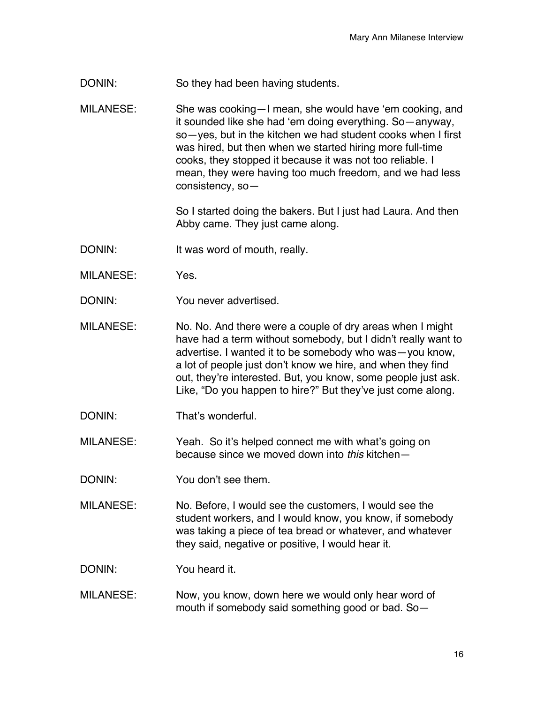- DONIN: So they had been having students.
- MILANESE: She was cooking—I mean, she would have 'em cooking, and it sounded like she had 'em doing everything. So—anyway, so—yes, but in the kitchen we had student cooks when I first was hired, but then when we started hiring more full-time cooks, they stopped it because it was not too reliable. I mean, they were having too much freedom, and we had less consistency, so—

So I started doing the bakers. But I just had Laura. And then Abby came. They just came along.

- DONIN: It was word of mouth, really.
- MILANESE: Yes.
- DONIN: You never advertised.
- MILANESE: No. No. And there were a couple of dry areas when I might have had a term without somebody, but I didn't really want to advertise. I wanted it to be somebody who was—you know, a lot of people just don't know we hire, and when they find out, they're interested. But, you know, some people just ask. Like, "Do you happen to hire?" But they've just come along.
- DONIN: That's wonderful.

MILANESE: Yeah. So it's helped connect me with what's going on because since we moved down into *this* kitchen—

- DONIN: You don't see them.
- MILANESE: No. Before, I would see the customers, I would see the student workers, and I would know, you know, if somebody was taking a piece of tea bread or whatever, and whatever they said, negative or positive, I would hear it.

DONIN: You heard it.

MILANESE: Now, you know, down here we would only hear word of mouth if somebody said something good or bad. So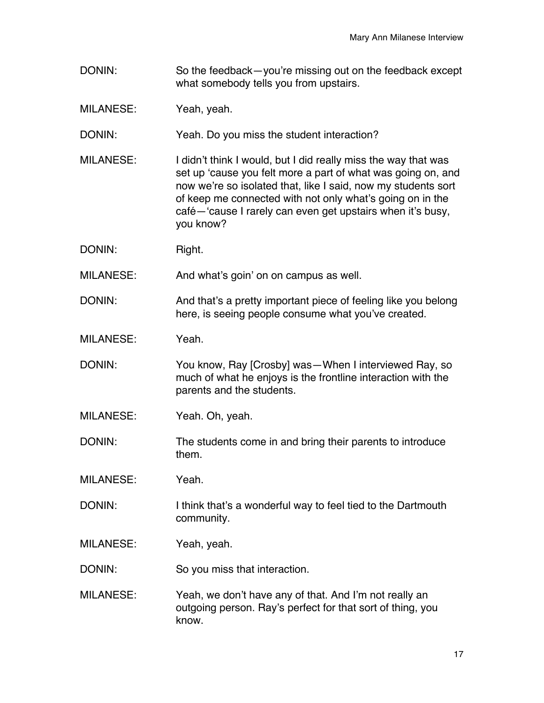DONIN: So the feedback—you're missing out on the feedback except what somebody tells you from upstairs.

MILANESE: Yeah, yeah.

DONIN: Yeah. Do you miss the student interaction?

- MILANESE: I didn't think I would, but I did really miss the way that was set up 'cause you felt more a part of what was going on, and now we're so isolated that, like I said, now my students sort of keep me connected with not only what's going on in the café—'cause I rarely can even get upstairs when it's busy, you know?
- DONIN: Right.

MILANESE: And what's goin' on on campus as well.

DONIN: And that's a pretty important piece of feeling like you belong here, is seeing people consume what you've created.

MILANESE: Yeah.

DONIN: You know, Ray [Crosby] was—When I interviewed Ray, so much of what he enjoys is the frontline interaction with the parents and the students.

- MILANESE: Yeah. Oh, yeah.
- DONIN: The students come in and bring their parents to introduce them.
- MILANESE: Yeah.
- DONIN: I think that's a wonderful way to feel tied to the Dartmouth community.
- MILANESE: Yeah, yeah.

DONIN: So you miss that interaction.

MILANESE: Yeah, we don't have any of that. And I'm not really an outgoing person. Ray's perfect for that sort of thing, you know.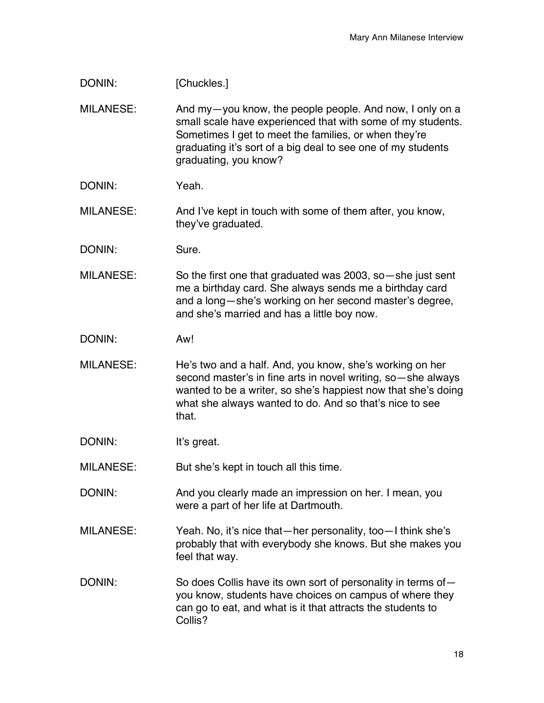| DONIN:           | [Chuckles.]                                                                                                                                                                                                                                                               |
|------------------|---------------------------------------------------------------------------------------------------------------------------------------------------------------------------------------------------------------------------------------------------------------------------|
| <b>MILANESE:</b> | And my-you know, the people people. And now, I only on a<br>small scale have experienced that with some of my students.<br>Sometimes I get to meet the families, or when they're<br>graduating it's sort of a big deal to see one of my students<br>graduating, you know? |
| DONIN:           | Yeah.                                                                                                                                                                                                                                                                     |
| <b>MILANESE:</b> | And I've kept in touch with some of them after, you know,<br>they've graduated.                                                                                                                                                                                           |
| DONIN:           | Sure.                                                                                                                                                                                                                                                                     |
| <b>MILANESE:</b> | So the first one that graduated was 2003, so $-$ she just sent<br>me a birthday card. She always sends me a birthday card<br>and a long-she's working on her second master's degree,<br>and she's married and has a little boy now.                                       |
| DONIN:           | Aw!                                                                                                                                                                                                                                                                       |
| <b>MILANESE:</b> | He's two and a half. And, you know, she's working on her<br>second master's in fine arts in novel writing, so-she always<br>wanted to be a writer, so she's happiest now that she's doing<br>what she always wanted to do. And so that's nice to see<br>that.             |
| DONIN:           | It's great.                                                                                                                                                                                                                                                               |
| <b>MILANESE:</b> | But she's kept in touch all this time.                                                                                                                                                                                                                                    |
| DONIN:           | And you clearly made an impression on her. I mean, you<br>were a part of her life at Dartmouth.                                                                                                                                                                           |
| <b>MILANESE:</b> | Yeah. No, it's nice that—her personality, too—I think she's<br>probably that with everybody she knows. But she makes you<br>feel that way.                                                                                                                                |
| DONIN:           | So does Collis have its own sort of personality in terms of-<br>you know, students have choices on campus of where they<br>can go to eat, and what is it that attracts the students to<br>Collis?                                                                         |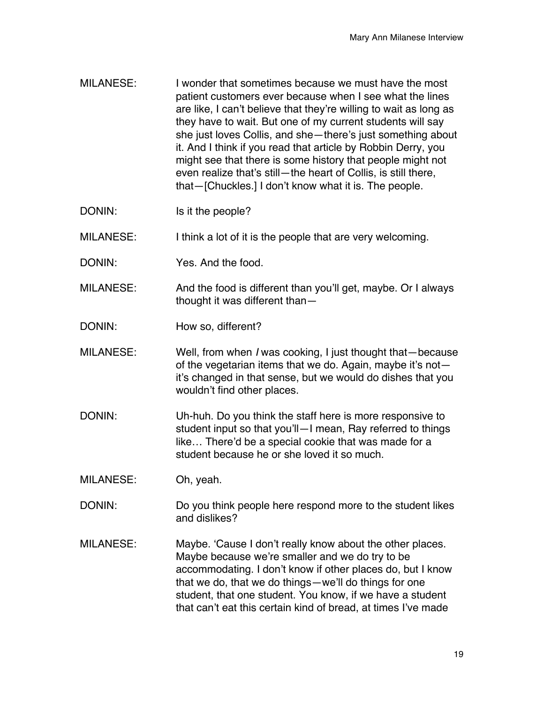- MILANESE: I wonder that sometimes because we must have the most patient customers ever because when I see what the lines are like, I can't believe that they're willing to wait as long as they have to wait. But one of my current students will say she just loves Collis, and she—there's just something about it. And I think if you read that article by Robbin Derry, you might see that there is some history that people might not even realize that's still—the heart of Collis, is still there, that—[Chuckles.] I don't know what it is. The people.
- DONIN: Is it the people?

MILANESE: I think a lot of it is the people that are very welcoming.

- DONIN: Yes. And the food.
- MILANESE: And the food is different than you'll get, maybe. Or I always thought it was different than—
- DONIN: How so, different?
- MILANESE: Well, from when *I* was cooking, I just thought that—because of the vegetarian items that we do. Again, maybe it's not it's changed in that sense, but we would do dishes that you wouldn't find other places.
- DONIN: Uh-huh. Do you think the staff here is more responsive to student input so that you'll—I mean, Ray referred to things like… There'd be a special cookie that was made for a student because he or she loved it so much.
- MILANESE: Oh, yeah.
- DONIN: Do you think people here respond more to the student likes and dislikes?
- MILANESE: Maybe. 'Cause I don't really know about the other places. Maybe because we're smaller and we do try to be accommodating. I don't know if other places do, but I know that we do, that we do things—we'll do things for one student, that one student. You know, if we have a student that can't eat this certain kind of bread, at times I've made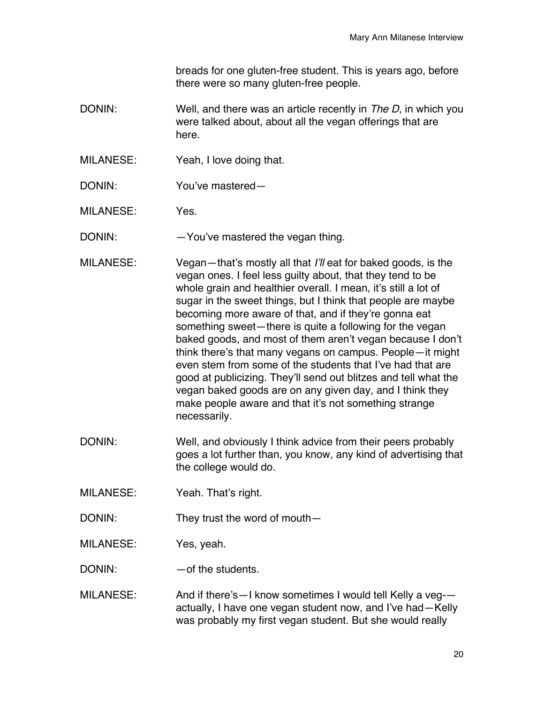breads for one gluten-free student. This is years ago, before there were so many gluten-free people.

- DONIN: Well, and there was an article recently in *The D*, in which you were talked about, about all the vegan offerings that are here.
- MILANESE: Yeah, I love doing that.
- DONIN: You've mastered—

MILANESE: Yes.

DONIN: - - You've mastered the vegan thing.

- MILANESE: Vegan—that's mostly all that *I'll* eat for baked goods, is the vegan ones. I feel less guilty about, that they tend to be whole grain and healthier overall. I mean, it's still a lot of sugar in the sweet things, but I think that people are maybe becoming more aware of that, and if they're gonna eat something sweet—there is quite a following for the vegan baked goods, and most of them aren't vegan because I don't think there's that many vegans on campus. People—it might even stem from some of the students that I've had that are good at publicizing. They'll send out blitzes and tell what the vegan baked goods are on any given day, and I think they make people aware and that it's not something strange necessarily.
- DONIN: Well, and obviously I think advice from their peers probably goes a lot further than, you know, any kind of advertising that the college would do.
- MILANESE: Yeah. That's right.
- DONIN: They trust the word of mouth-

MILANESE: Yes, yeah.

DONIN: — — of the students.

MILANESE: And if there's—I know sometimes I would tell Kelly a veg- actually, I have one vegan student now, and I've had—Kelly was probably my first vegan student. But she would really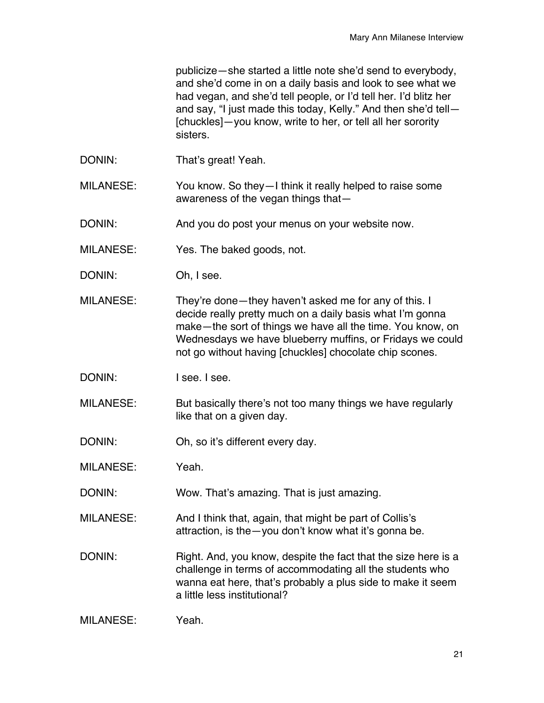publicize—she started a little note she'd send to everybody, and she'd come in on a daily basis and look to see what we had vegan, and she'd tell people, or I'd tell her. I'd blitz her and say, "I just made this today, Kelly." And then she'd tell— [chuckles]—you know, write to her, or tell all her sorority sisters.

DONIN: That's great! Yeah.

MILANESE: You know. So they—I think it really helped to raise some awareness of the vegan things that—

DONIN: And you do post your menus on your website now.

MILANESE: Yes. The baked goods, not.

DONIN: Oh, I see.

MILANESE: They're done—they haven't asked me for any of this. I decide really pretty much on a daily basis what I'm gonna make—the sort of things we have all the time. You know, on Wednesdays we have blueberry muffins, or Fridays we could not go without having [chuckles] chocolate chip scones.

DONIN: I see. I see.

MILANESE: But basically there's not too many things we have regularly like that on a given day.

DONIN: Oh, so it's different every day.

MILANESE: Yeah.

DONIN: Wow. That's amazing. That is just amazing.

MILANESE: And I think that, again, that might be part of Collis's attraction, is the—you don't know what it's gonna be.

DONIN: Right. And, you know, despite the fact that the size here is a challenge in terms of accommodating all the students who wanna eat here, that's probably a plus side to make it seem a little less institutional?

| MILANESE:<br>Yeah. |  |
|--------------------|--|
|--------------------|--|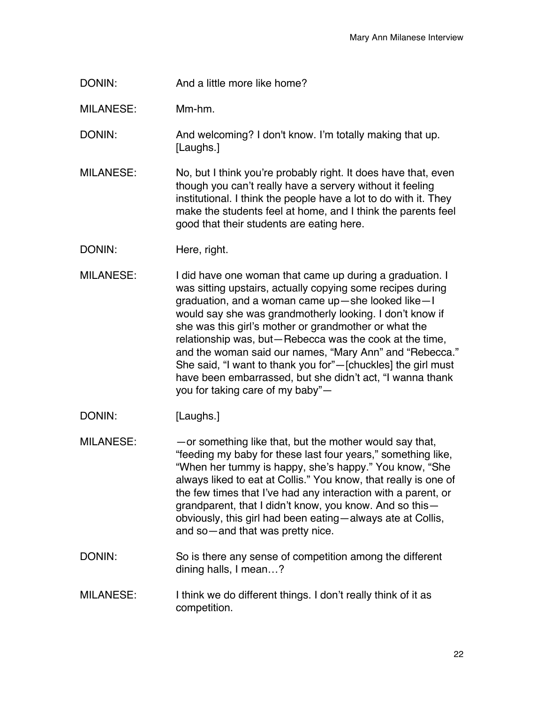DONIN: And a little more like home?

MILANESE: Mm-hm.

DONIN: And welcoming? I don't know. I'm totally making that up. [Laughs.]

MILANESE: No, but I think you're probably right. It does have that, even though you can't really have a servery without it feeling institutional. I think the people have a lot to do with it. They make the students feel at home, and I think the parents feel good that their students are eating here.

- DONIN: Here, right.
- MILANESE: I did have one woman that came up during a graduation. I was sitting upstairs, actually copying some recipes during graduation, and a woman came up—she looked like—I would say she was grandmotherly looking. I don't know if she was this girl's mother or grandmother or what the relationship was, but—Rebecca was the cook at the time, and the woman said our names, "Mary Ann" and "Rebecca." She said, "I want to thank you for"—[chuckles] the girl must have been embarrassed, but she didn't act, "I wanna thank you for taking care of my baby"—
- DONIN: [Laughs.]

 $MILANESE:$  - or something like that, but the mother would say that, "feeding my baby for these last four years," something like, "When her tummy is happy, she's happy." You know, "She always liked to eat at Collis." You know, that really is one of the few times that I've had any interaction with a parent, or grandparent, that I didn't know, you know. And so this obviously, this girl had been eating—always ate at Collis, and so—and that was pretty nice.

- DONIN: So is there any sense of competition among the different dining halls, I mean…?
- MILANESE: I think we do different things. I don't really think of it as competition.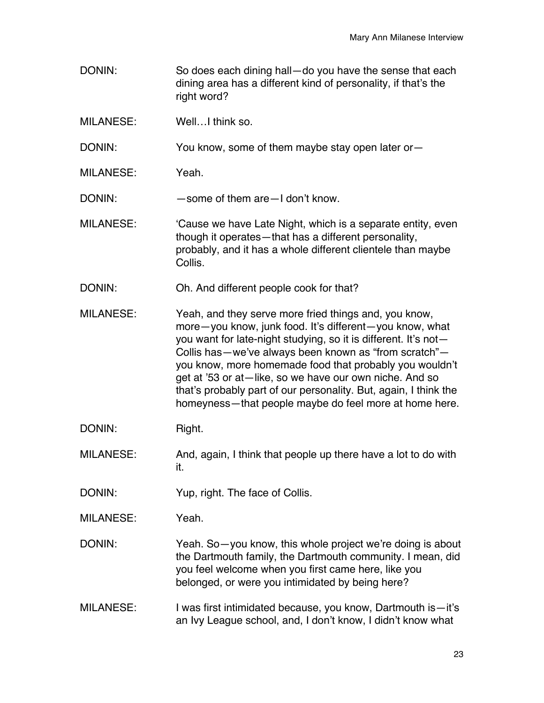DONIN: So does each dining hall—do you have the sense that each dining area has a different kind of personality, if that's the right word? MILANESE: Well…I think so. DONIN: You know, some of them maybe stay open later or-MILANESE: Yeah. DONIN: — some of them are - I don't know. MILANESE: 'Cause we have Late Night, which is a separate entity, even though it operates—that has a different personality, probably, and it has a whole different clientele than maybe Collis. DONIN: Oh. And different people cook for that? MILANESE: Yeah, and they serve more fried things and, you know, more—you know, junk food. It's different—you know, what you want for late-night studying, so it is different. It's not— Collis has—we've always been known as "from scratch" you know, more homemade food that probably you wouldn't get at '53 or at—like, so we have our own niche. And so that's probably part of our personality. But, again, I think the homeyness—that people maybe do feel more at home here. DONIN: Right. MILANESE: And, again, I think that people up there have a lot to do with it. DONIN: Yup, right. The face of Collis. MILANESE: Yeah. DONIN: Yeah. So-you know, this whole project we're doing is about the Dartmouth family, the Dartmouth community. I mean, did you feel welcome when you first came here, like you belonged, or were you intimidated by being here? MILANESE: I was first intimidated because, you know, Dartmouth is-it's an Ivy League school, and, I don't know, I didn't know what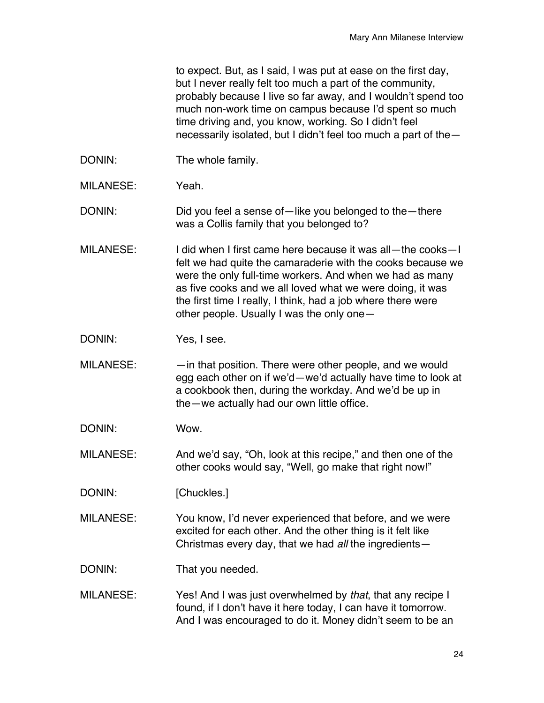to expect. But, as I said, I was put at ease on the first day, but I never really felt too much a part of the community, probably because I live so far away, and I wouldn't spend too much non-work time on campus because I'd spent so much time driving and, you know, working. So I didn't feel necessarily isolated, but I didn't feel too much a part of the—

- DONIN: The whole family.
- MILANESE: Yeah.
- DONIN: Did you feel a sense of—like you belonged to the—there was a Collis family that you belonged to?
- MILANESE: I did when I first came here because it was all—the cooks—I felt we had quite the camaraderie with the cooks because we were the only full-time workers. And when we had as many as five cooks and we all loved what we were doing, it was the first time I really, I think, had a job where there were other people. Usually I was the only one—
- DONIN: Yes, I see.
- $MILANESE:$   $-$  in that position. There were other people, and we would egg each other on if we'd—we'd actually have time to look at a cookbook then, during the workday. And we'd be up in the—we actually had our own little office.
- DONIN: Wow.
- MILANESE: And we'd say, "Oh, look at this recipe," and then one of the other cooks would say, "Well, go make that right now!"
- DONIN: [Chuckles.]
- MILANESE: You know, I'd never experienced that before, and we were excited for each other. And the other thing is it felt like Christmas every day, that we had *all* the ingredients—
- DONIN: That you needed.
- MILANESE: Yes! And I was just overwhelmed by *that*, that any recipe I found, if I don't have it here today, I can have it tomorrow. And I was encouraged to do it. Money didn't seem to be an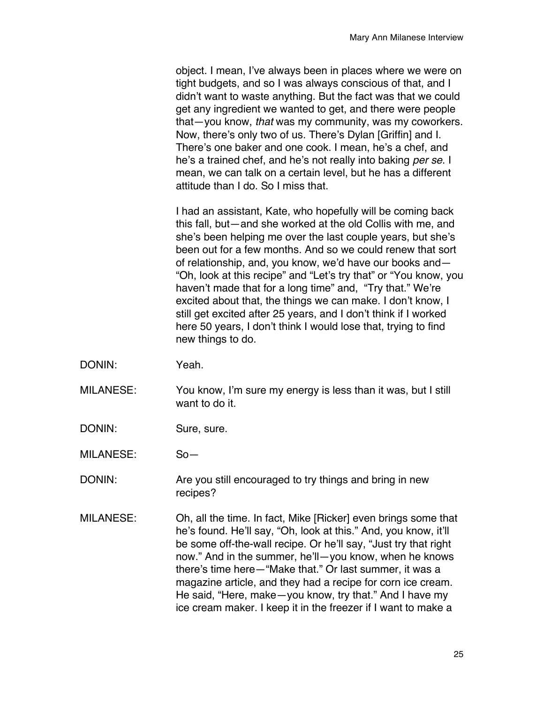object. I mean, I've always been in places where we were on tight budgets, and so I was always conscious of that, and I didn't want to waste anything. But the fact was that we could get any ingredient we wanted to get, and there were people that—you know, *that* was my community, was my coworkers. Now, there's only two of us. There's Dylan [Griffin] and I. There's one baker and one cook. I mean, he's a chef, and he's a trained chef, and he's not really into baking *per se*. I mean, we can talk on a certain level, but he has a different attitude than I do. So I miss that.

I had an assistant, Kate, who hopefully will be coming back this fall, but—and she worked at the old Collis with me, and she's been helping me over the last couple years, but she's been out for a few months. And so we could renew that sort of relationship, and, you know, we'd have our books and— "Oh, look at this recipe" and "Let's try that" or "You know, you haven't made that for a long time" and, "Try that." We're excited about that, the things we can make. I don't know, I still get excited after 25 years, and I don't think if I worked here 50 years, I don't think I would lose that, trying to find new things to do.

- DONIN: Yeah.
- MILANESE: You know, I'm sure my energy is less than it was, but I still want to do it.
- DONIN: Sure, sure.
- MILANESE: So—
- DONIN: Are you still encouraged to try things and bring in new recipes?
- MILANESE: Oh, all the time. In fact, Mike [Ricker] even brings some that he's found. He'll say, "Oh, look at this." And, you know, it'll be some off-the-wall recipe. Or he'll say, "Just try that right now." And in the summer, he'll—you know, when he knows there's time here—"Make that." Or last summer, it was a magazine article, and they had a recipe for corn ice cream. He said, "Here, make—you know, try that." And I have my ice cream maker. I keep it in the freezer if I want to make a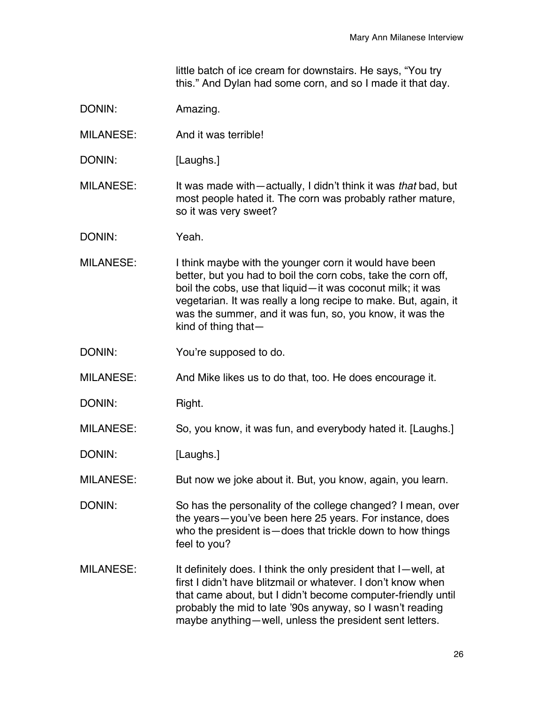little batch of ice cream for downstairs. He says, "You try this." And Dylan had some corn, and so I made it that day.

| DONIN:           | Amazing.                                                                                                                                                                                                                                                                                                                                    |
|------------------|---------------------------------------------------------------------------------------------------------------------------------------------------------------------------------------------------------------------------------------------------------------------------------------------------------------------------------------------|
| <b>MILANESE:</b> | And it was terrible!                                                                                                                                                                                                                                                                                                                        |
| DONIN:           | [Laughs.]                                                                                                                                                                                                                                                                                                                                   |
| <b>MILANESE:</b> | It was made with—actually, I didn't think it was that bad, but<br>most people hated it. The corn was probably rather mature,<br>so it was very sweet?                                                                                                                                                                                       |
| DONIN:           | Yeah.                                                                                                                                                                                                                                                                                                                                       |
| <b>MILANESE:</b> | I think maybe with the younger corn it would have been<br>better, but you had to boil the corn cobs, take the corn off,<br>boil the cobs, use that liquid-it was coconut milk; it was<br>vegetarian. It was really a long recipe to make. But, again, it<br>was the summer, and it was fun, so, you know, it was the<br>kind of thing that- |
| DONIN:           | You're supposed to do.                                                                                                                                                                                                                                                                                                                      |
| <b>MILANESE:</b> | And Mike likes us to do that, too. He does encourage it.                                                                                                                                                                                                                                                                                    |
| DONIN:           | Right.                                                                                                                                                                                                                                                                                                                                      |
| <b>MILANESE:</b> | So, you know, it was fun, and everybody hated it. [Laughs.]                                                                                                                                                                                                                                                                                 |
| DONIN:           | [Laughs.]                                                                                                                                                                                                                                                                                                                                   |
| <b>MILANESE:</b> | But now we joke about it. But, you know, again, you learn.                                                                                                                                                                                                                                                                                  |
| DONIN:           | So has the personality of the college changed? I mean, over<br>the years-you've been here 25 years. For instance, does<br>who the president is - does that trickle down to how things<br>feel to you?                                                                                                                                       |
| <b>MILANESE:</b> | It definitely does. I think the only president that I-well, at<br>first I didn't have blitzmail or whatever. I don't know when<br>that came about, but I didn't become computer-friendly until<br>probably the mid to late '90s anyway, so I wasn't reading<br>maybe anything-well, unless the president sent letters.                      |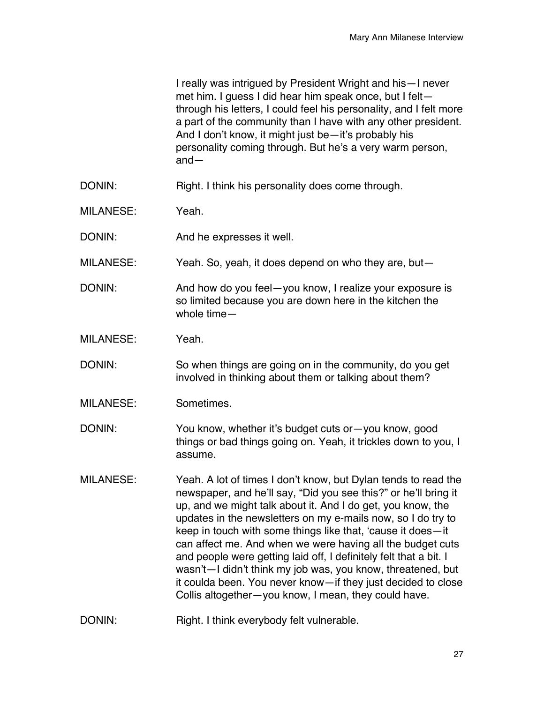|                  | I really was intrigued by President Wright and his—I never<br>met him. I guess I did hear him speak once, but I felt-<br>through his letters, I could feel his personality, and I felt more<br>a part of the community than I have with any other president.<br>And I don't know, it might just be—it's probably his<br>personality coming through. But he's a very warm person,<br>$and -$                                                                                                                                                                                                                                                               |
|------------------|-----------------------------------------------------------------------------------------------------------------------------------------------------------------------------------------------------------------------------------------------------------------------------------------------------------------------------------------------------------------------------------------------------------------------------------------------------------------------------------------------------------------------------------------------------------------------------------------------------------------------------------------------------------|
| DONIN:           | Right. I think his personality does come through.                                                                                                                                                                                                                                                                                                                                                                                                                                                                                                                                                                                                         |
| <b>MILANESE:</b> | Yeah.                                                                                                                                                                                                                                                                                                                                                                                                                                                                                                                                                                                                                                                     |
| DONIN:           | And he expresses it well.                                                                                                                                                                                                                                                                                                                                                                                                                                                                                                                                                                                                                                 |
| <b>MILANESE:</b> | Yeah. So, yeah, it does depend on who they are, but-                                                                                                                                                                                                                                                                                                                                                                                                                                                                                                                                                                                                      |
| DONIN:           | And how do you feel-you know, I realize your exposure is<br>so limited because you are down here in the kitchen the<br>whole time-                                                                                                                                                                                                                                                                                                                                                                                                                                                                                                                        |
| <b>MILANESE:</b> | Yeah.                                                                                                                                                                                                                                                                                                                                                                                                                                                                                                                                                                                                                                                     |
| DONIN:           | So when things are going on in the community, do you get<br>involved in thinking about them or talking about them?                                                                                                                                                                                                                                                                                                                                                                                                                                                                                                                                        |
| <b>MILANESE:</b> | Sometimes.                                                                                                                                                                                                                                                                                                                                                                                                                                                                                                                                                                                                                                                |
| DONIN:           | You know, whether it's budget cuts or - you know, good<br>things or bad things going on. Yeah, it trickles down to you, I<br>assume.                                                                                                                                                                                                                                                                                                                                                                                                                                                                                                                      |
| <b>MILANESE:</b> | Yeah. A lot of times I don't know, but Dylan tends to read the<br>newspaper, and he'll say, "Did you see this?" or he'll bring it<br>up, and we might talk about it. And I do get, you know, the<br>updates in the newsletters on my e-mails now, so I do try to<br>keep in touch with some things like that, 'cause it does-it<br>can affect me. And when we were having all the budget cuts<br>and people were getting laid off, I definitely felt that a bit. I<br>wasn't-I didn't think my job was, you know, threatened, but<br>it coulda been. You never know-if they just decided to close<br>Collis altogether-you know, I mean, they could have. |
| DONIN:           | Right. I think everybody felt vulnerable.                                                                                                                                                                                                                                                                                                                                                                                                                                                                                                                                                                                                                 |
|                  |                                                                                                                                                                                                                                                                                                                                                                                                                                                                                                                                                                                                                                                           |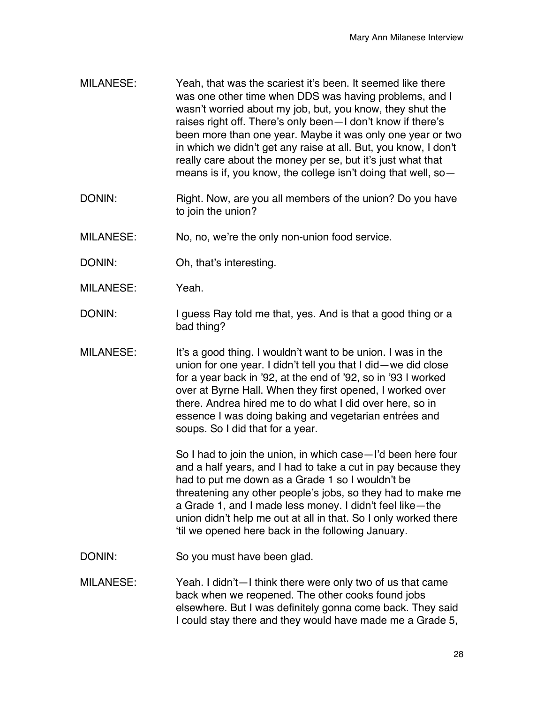- MILANESE: Yeah, that was the scariest it's been. It seemed like there was one other time when DDS was having problems, and I wasn't worried about my job, but, you know, they shut the raises right off. There's only been—I don't know if there's been more than one year. Maybe it was only one year or two in which we didn't get any raise at all. But, you know, I don't really care about the money per se, but it's just what that means is if, you know, the college isn't doing that well, so—
- DONIN: Right. Now, are you all members of the union? Do you have to join the union?
- MILANESE: No, no, we're the only non-union food service.
- DONIN: Oh, that's interesting.
- MILANESE: Yeah.
- DONIN: I guess Ray told me that, yes. And is that a good thing or a bad thing?
- MILANESE: It's a good thing. I wouldn't want to be union. I was in the union for one year. I didn't tell you that I did—we did close for a year back in '92, at the end of '92, so in '93 I worked over at Byrne Hall. When they first opened, I worked over there. Andrea hired me to do what I did over here, so in essence I was doing baking and vegetarian entrées and soups. So I did that for a year.

So I had to join the union, in which case—I'd been here four and a half years, and I had to take a cut in pay because they had to put me down as a Grade 1 so I wouldn't be threatening any other people's jobs, so they had to make me a Grade 1, and I made less money. I didn't feel like—the union didn't help me out at all in that. So I only worked there 'til we opened here back in the following January.

- DONIN: So you must have been glad.
- MILANESE: Yeah. I didn't—I think there were only two of us that came back when we reopened. The other cooks found jobs elsewhere. But I was definitely gonna come back. They said I could stay there and they would have made me a Grade 5,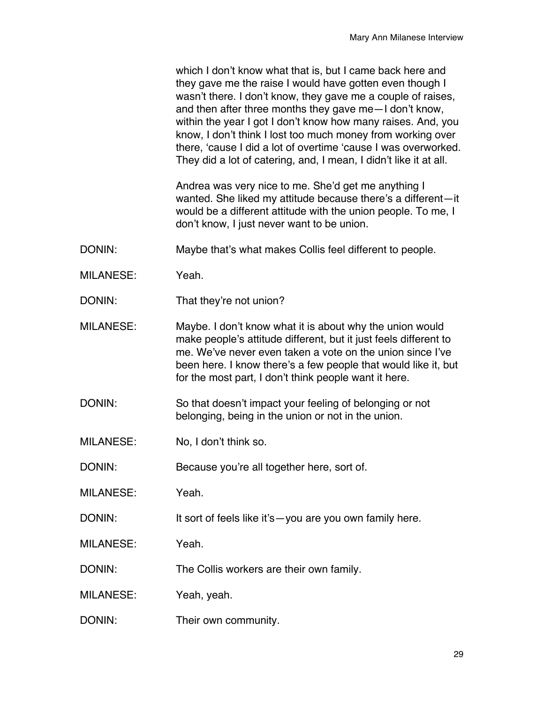|                  | which I don't know what that is, but I came back here and<br>they gave me the raise I would have gotten even though I<br>wasn't there. I don't know, they gave me a couple of raises,<br>and then after three months they gave me-I don't know,<br>within the year I got I don't know how many raises. And, you<br>know, I don't think I lost too much money from working over<br>there, 'cause I did a lot of overtime 'cause I was overworked.<br>They did a lot of catering, and, I mean, I didn't like it at all. |
|------------------|-----------------------------------------------------------------------------------------------------------------------------------------------------------------------------------------------------------------------------------------------------------------------------------------------------------------------------------------------------------------------------------------------------------------------------------------------------------------------------------------------------------------------|
|                  | Andrea was very nice to me. She'd get me anything I<br>wanted. She liked my attitude because there's a different-it<br>would be a different attitude with the union people. To me, I<br>don't know, I just never want to be union.                                                                                                                                                                                                                                                                                    |
| DONIN:           | Maybe that's what makes Collis feel different to people.                                                                                                                                                                                                                                                                                                                                                                                                                                                              |
| <b>MILANESE:</b> | Yeah.                                                                                                                                                                                                                                                                                                                                                                                                                                                                                                                 |
| DONIN:           | That they're not union?                                                                                                                                                                                                                                                                                                                                                                                                                                                                                               |
| <b>MILANESE:</b> | Maybe. I don't know what it is about why the union would<br>make people's attitude different, but it just feels different to<br>me. We've never even taken a vote on the union since I've<br>been here. I know there's a few people that would like it, but<br>for the most part, I don't think people want it here.                                                                                                                                                                                                  |
| DONIN:           | So that doesn't impact your feeling of belonging or not<br>belonging, being in the union or not in the union.                                                                                                                                                                                                                                                                                                                                                                                                         |
| <b>MILANESE:</b> | No, I don't think so.                                                                                                                                                                                                                                                                                                                                                                                                                                                                                                 |
| DONIN:           | Because you're all together here, sort of.                                                                                                                                                                                                                                                                                                                                                                                                                                                                            |
| <b>MILANESE:</b> | Yeah.                                                                                                                                                                                                                                                                                                                                                                                                                                                                                                                 |
| DONIN:           | It sort of feels like it's - you are you own family here.                                                                                                                                                                                                                                                                                                                                                                                                                                                             |
| <b>MILANESE:</b> | Yeah.                                                                                                                                                                                                                                                                                                                                                                                                                                                                                                                 |
| DONIN:           | The Collis workers are their own family.                                                                                                                                                                                                                                                                                                                                                                                                                                                                              |
| <b>MILANESE:</b> | Yeah, yeah.                                                                                                                                                                                                                                                                                                                                                                                                                                                                                                           |
| DONIN:           | Their own community.                                                                                                                                                                                                                                                                                                                                                                                                                                                                                                  |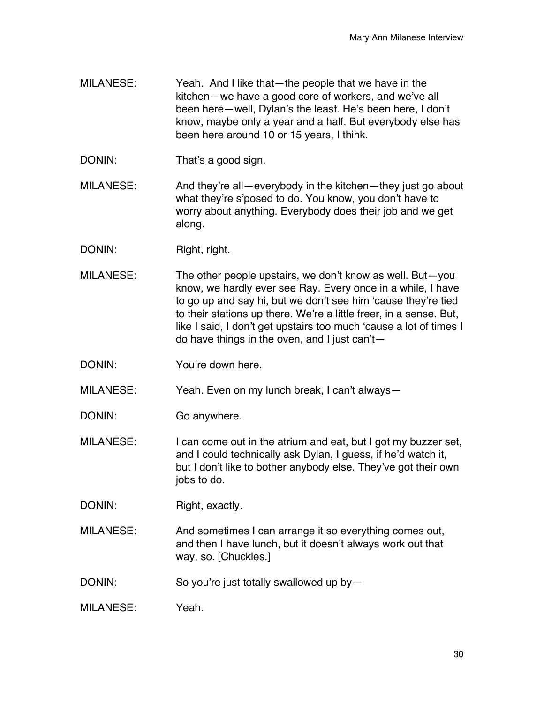- MILANESE: Yeah. And I like that—the people that we have in the kitchen—we have a good core of workers, and we've all been here—well, Dylan's the least. He's been here, I don't know, maybe only a year and a half. But everybody else has been here around 10 or 15 years, I think.
- DONIN: That's a good sign.
- MILANESE: And they're all—everybody in the kitchen—they just go about what they're s'posed to do. You know, you don't have to worry about anything. Everybody does their job and we get along.
- DONIN: Right, right.
- MILANESE: The other people upstairs, we don't know as well. But—you know, we hardly ever see Ray. Every once in a while, I have to go up and say hi, but we don't see him 'cause they're tied to their stations up there. We're a little freer, in a sense. But, like I said, I don't get upstairs too much 'cause a lot of times I do have things in the oven, and I just can't—
- DONIN: You're down here.

MILANESE: Yeah. Even on my lunch break, I can't always—

- DONIN: Go anywhere.
- MILANESE: I can come out in the atrium and eat, but I got my buzzer set, and I could technically ask Dylan, I guess, if he'd watch it, but I don't like to bother anybody else. They've got their own jobs to do.
- DONIN: Right, exactly.
- MILANESE: And sometimes I can arrange it so everything comes out, and then I have lunch, but it doesn't always work out that way, so. [Chuckles.]
- DONIN: So you're just totally swallowed up by-
- MILANESE: Yeah.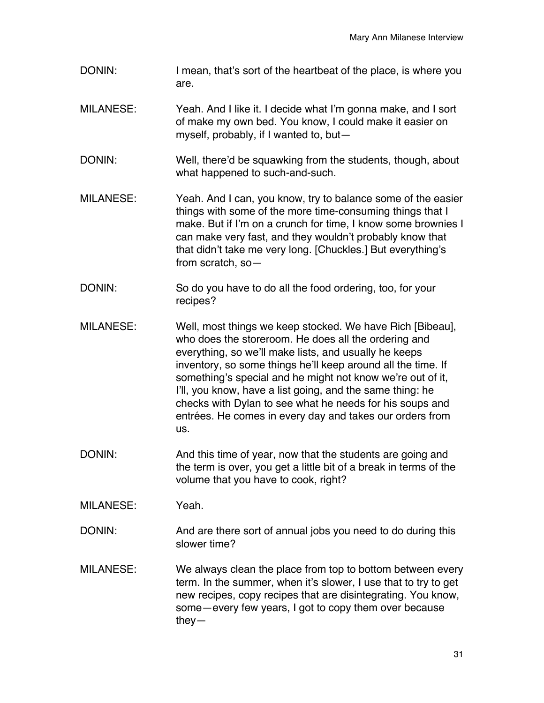- DONIN: I mean, that's sort of the heartbeat of the place, is where you are.
- MILANESE: Yeah. And I like it. I decide what I'm gonna make, and I sort of make my own bed. You know, I could make it easier on myself, probably, if I wanted to, but—
- DONIN: Well, there'd be squawking from the students, though, about what happened to such-and-such.
- MILANESE: Yeah. And I can, you know, try to balance some of the easier things with some of the more time-consuming things that I make. But if I'm on a crunch for time, I know some brownies I can make very fast, and they wouldn't probably know that that didn't take me very long. [Chuckles.] But everything's from scratch, so—
- DONIN: So do you have to do all the food ordering, too, for your recipes?
- MILANESE: Well, most things we keep stocked. We have Rich [Bibeau], who does the storeroom. He does all the ordering and everything, so we'll make lists, and usually he keeps inventory, so some things he'll keep around all the time. If something's special and he might not know we're out of it, I'll, you know, have a list going, and the same thing: he checks with Dylan to see what he needs for his soups and entrées. He comes in every day and takes our orders from us.
- DONIN: And this time of year, now that the students are going and the term is over, you get a little bit of a break in terms of the volume that you have to cook, right?
- MILANESE: Yeah.
- DONIN: And are there sort of annual jobs you need to do during this slower time?
- MILANESE: We always clean the place from top to bottom between every term. In the summer, when it's slower, I use that to try to get new recipes, copy recipes that are disintegrating. You know, some—every few years, I got to copy them over because they—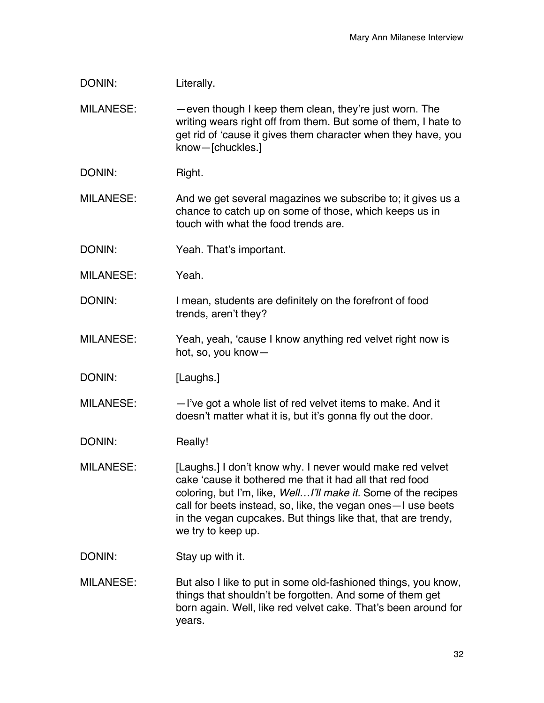| DONIN:           | Literally.                                                                                                                                                                                                                                                                                                                                       |
|------------------|--------------------------------------------------------------------------------------------------------------------------------------------------------------------------------------------------------------------------------------------------------------------------------------------------------------------------------------------------|
| <b>MILANESE:</b> | -even though I keep them clean, they're just worn. The<br>writing wears right off from them. But some of them, I hate to<br>get rid of 'cause it gives them character when they have, you<br>know-[chuckles.]                                                                                                                                    |
| DONIN:           | Right.                                                                                                                                                                                                                                                                                                                                           |
| <b>MILANESE:</b> | And we get several magazines we subscribe to; it gives us a<br>chance to catch up on some of those, which keeps us in<br>touch with what the food trends are.                                                                                                                                                                                    |
| DONIN:           | Yeah. That's important.                                                                                                                                                                                                                                                                                                                          |
| <b>MILANESE:</b> | Yeah.                                                                                                                                                                                                                                                                                                                                            |
| DONIN:           | I mean, students are definitely on the forefront of food<br>trends, aren't they?                                                                                                                                                                                                                                                                 |
| <b>MILANESE:</b> | Yeah, yeah, 'cause I know anything red velvet right now is<br>hot, so, you know-                                                                                                                                                                                                                                                                 |
| DONIN:           | [Laughs.]                                                                                                                                                                                                                                                                                                                                        |
| <b>MILANESE:</b> | -I've got a whole list of red velvet items to make. And it<br>doesn't matter what it is, but it's gonna fly out the door.                                                                                                                                                                                                                        |
| DONIN:           | Really!                                                                                                                                                                                                                                                                                                                                          |
| <b>MILANESE:</b> | [Laughs.] I don't know why. I never would make red velvet<br>cake 'cause it bothered me that it had all that red food<br>coloring, but I'm, like, WellI'll make it. Some of the recipes<br>call for beets instead, so, like, the vegan ones - I use beets<br>in the vegan cupcakes. But things like that, that are trendy,<br>we try to keep up. |
| DONIN:           | Stay up with it.                                                                                                                                                                                                                                                                                                                                 |
| <b>MILANESE:</b> | But also I like to put in some old-fashioned things, you know,<br>things that shouldn't be forgotten. And some of them get<br>born again. Well, like red velvet cake. That's been around for<br>years.                                                                                                                                           |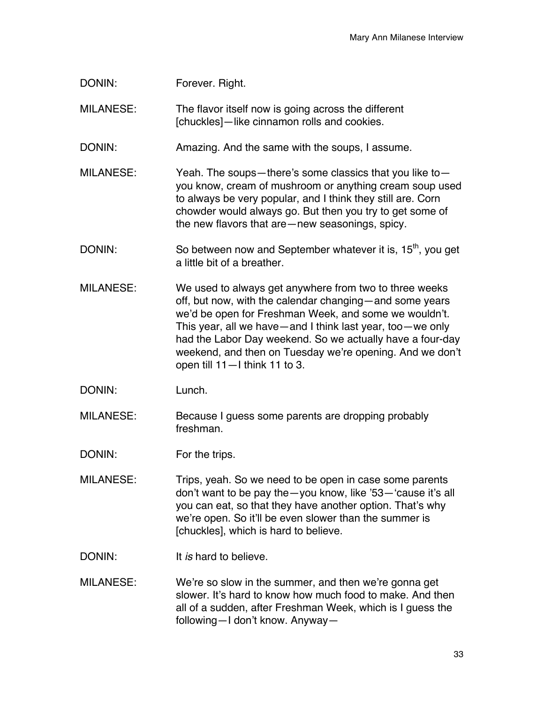| DONIN: | Forever. Right. |  |
|--------|-----------------|--|
|--------|-----------------|--|

MILANESE: The flavor itself now is going across the different [chuckles]—like cinnamon rolls and cookies.

DONIN: Amazing. And the same with the soups, I assume.

- MILANESE: Yeah. The soups—there's some classics that you like to you know, cream of mushroom or anything cream soup used to always be very popular, and I think they still are. Corn chowder would always go. But then you try to get some of the new flavors that are—new seasonings, spicy.
- DONIN: So between now and September whatever it is, 15<sup>th</sup>, you get a little bit of a breather.
- MILANESE: We used to always get anywhere from two to three weeks off, but now, with the calendar changing—and some years we'd be open for Freshman Week, and some we wouldn't. This year, all we have—and I think last year, too—we only had the Labor Day weekend. So we actually have a four-day weekend, and then on Tuesday we're opening. And we don't open till 11—I think 11 to 3.

DONIN: Lunch.

MILANESE: Because I guess some parents are dropping probably freshman.

DONIN: For the trips.

- MILANESE: Trips, yeah. So we need to be open in case some parents don't want to be pay the—you know, like '53—'cause it's all you can eat, so that they have another option. That's why we're open. So it'll be even slower than the summer is [chuckles], which is hard to believe.
- DONIN: It *is* hard to believe.
- MILANESE: We're so slow in the summer, and then we're gonna get slower. It's hard to know how much food to make. And then all of a sudden, after Freshman Week, which is I guess the following—I don't know. Anyway—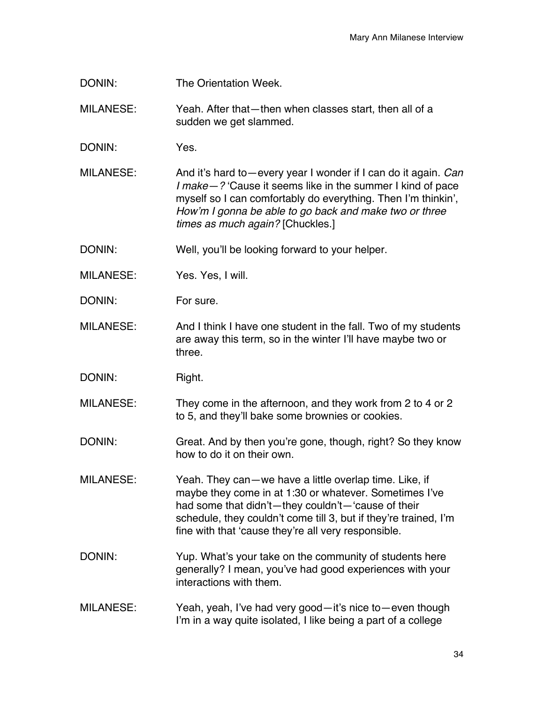DONIN: The Orientation Week.

MILANESE: Yeah. After that—then when classes start, then all of a sudden we get slammed.

DONIN: Yes.

MILANESE: And it's hard to—every year I wonder if I can do it again. *Can I make—?* 'Cause it seems like in the summer I kind of pace myself so I can comfortably do everything. Then I'm thinkin', *How'm I gonna be able to go back and make two or three times as much again?* [Chuckles.]

DONIN: Well, you'll be looking forward to your helper.

- MILANESE: Yes. Yes, I will.
- DONIN: For sure.
- MILANESE: And I think I have one student in the fall. Two of my students are away this term, so in the winter I'll have maybe two or three.

DONIN: Right.

MILANESE: They come in the afternoon, and they work from 2 to 4 or 2 to 5, and they'll bake some brownies or cookies.

- DONIN: Great. And by then you're gone, though, right? So they know how to do it on their own.
- MILANESE: Yeah. They can—we have a little overlap time. Like, if maybe they come in at 1:30 or whatever. Sometimes I've had some that didn't—they couldn't—'cause of their schedule, they couldn't come till 3, but if they're trained, I'm fine with that 'cause they're all very responsible.
- DONIN: Yup. What's your take on the community of students here generally? I mean, you've had good experiences with your interactions with them.
- MILANESE: Yeah, yeah, I've had very good—it's nice to—even though I'm in a way quite isolated, I like being a part of a college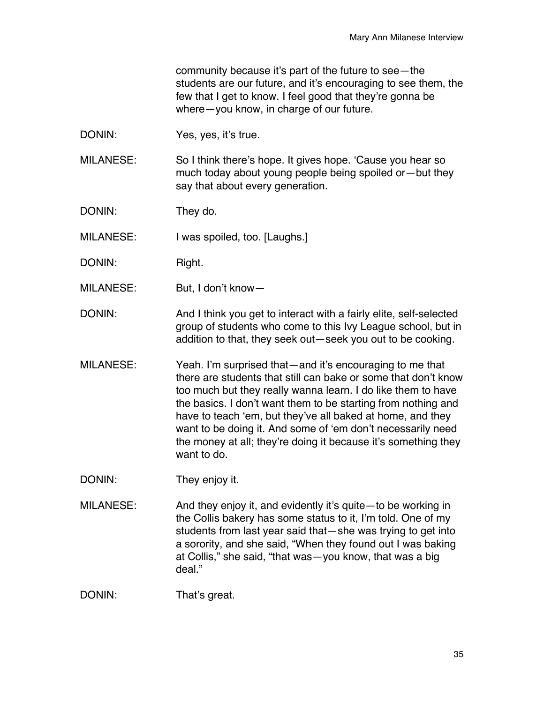community because it's part of the future to see—the students are our future, and it's encouraging to see them, the few that I get to know. I feel good that they're gonna be where—you know, in charge of our future.

DONIN: Yes, yes, it's true.

MILANESE: So I think there's hope. It gives hope. 'Cause you hear so much today about young people being spoiled or—but they say that about every generation.

DONIN: They do.

MILANESE: I was spoiled, too. [Laughs.]

- DONIN: Right.
- MILANESE: But, I don't know—
- DONIN: And I think you get to interact with a fairly elite, self-selected group of students who come to this Ivy League school, but in addition to that, they seek out—seek you out to be cooking.
- MILANESE: Yeah. I'm surprised that—and it's encouraging to me that there are students that still can bake or some that don't know too much but they really wanna learn. I do like them to have the basics. I don't want them to be starting from nothing and have to teach 'em, but they've all baked at home, and they want to be doing it. And some of 'em don't necessarily need the money at all; they're doing it because it's something they want to do.
- DONIN: They enjoy it.
- MILANESE: And they enjoy it, and evidently it's quite—to be working in the Collis bakery has some status to it, I'm told. One of my students from last year said that—she was trying to get into a sorority, and she said, "When they found out I was baking at Collis," she said, "that was—you know, that was a big deal."

DONIN: That's great.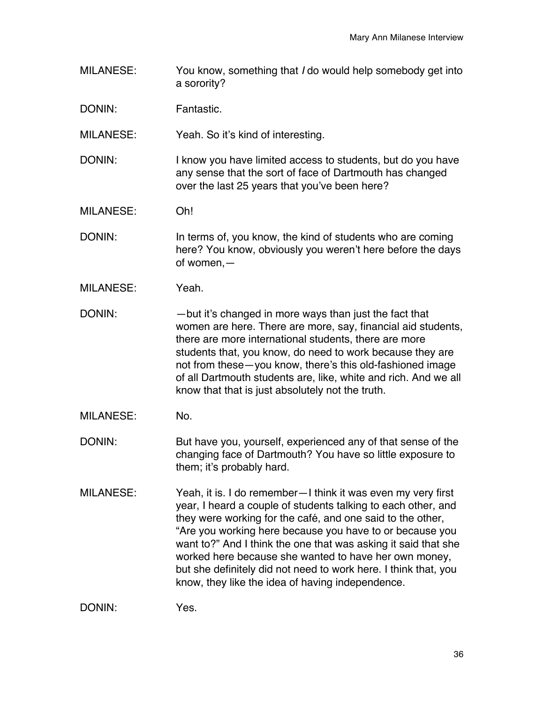MILANESE: You know, something that *I* do would help somebody get into a sorority?

DONIN: Fantastic.

MILANESE: Yeah. So it's kind of interesting.

DONIN: I know you have limited access to students, but do you have any sense that the sort of face of Dartmouth has changed over the last 25 years that you've been here?

MILANESE: Oh!

DONIN: In terms of, you know, the kind of students who are coming here? You know, obviously you weren't here before the days of women,—

- MILANESE: Yeah.
- DONIN: — but it's changed in more ways than just the fact that women are here. There are more, say, financial aid students, there are more international students, there are more students that, you know, do need to work because they are not from these—you know, there's this old-fashioned image of all Dartmouth students are, like, white and rich. And we all know that that is just absolutely not the truth.
- MILANESE: No.

DONIN: But have you, yourself, experienced any of that sense of the changing face of Dartmouth? You have so little exposure to them; it's probably hard.

MILANESE: Yeah, it is. I do remember—I think it was even my very first year, I heard a couple of students talking to each other, and they were working for the café, and one said to the other, "Are you working here because you have to or because you want to?" And I think the one that was asking it said that she worked here because she wanted to have her own money, but she definitely did not need to work here. I think that, you know, they like the idea of having independence.

DONIN: Yes.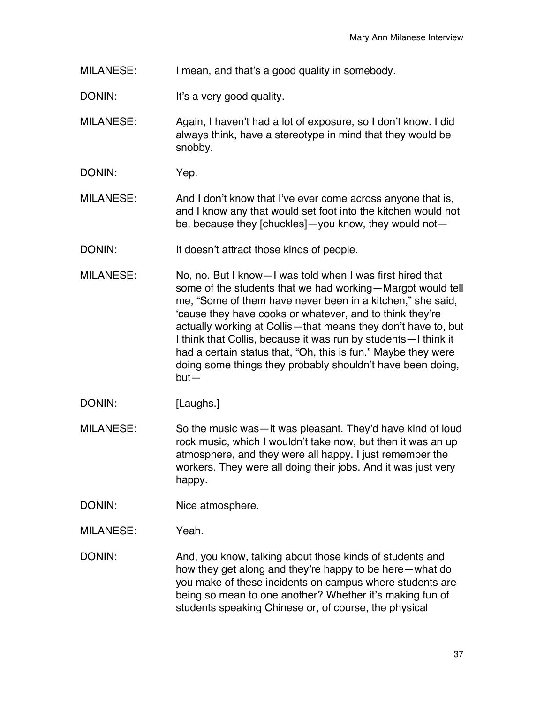- MILANESE: I mean, and that's a good quality in somebody.
- DONIN: It's a very good quality.
- MILANESE: Again, I haven't had a lot of exposure, so I don't know. I did always think, have a stereotype in mind that they would be snobby.
- DONIN: Yep.
- MILANESE: And I don't know that I've ever come across anyone that is, and I know any that would set foot into the kitchen would not be, because they [chuckles]—you know, they would not—
- DONIN: It doesn't attract those kinds of people.
- MILANESE: No, no. But I know—I was told when I was first hired that some of the students that we had working—Margot would tell me, "Some of them have never been in a kitchen," she said, 'cause they have cooks or whatever, and to think they're actually working at Collis—that means they don't have to, but I think that Collis, because it was run by students—I think it had a certain status that, "Oh, this is fun." Maybe they were doing some things they probably shouldn't have been doing, but—
- DONIN: [Laughs.]
- MILANESE: So the music was—it was pleasant. They'd have kind of loud rock music, which I wouldn't take now, but then it was an up atmosphere, and they were all happy. I just remember the workers. They were all doing their jobs. And it was just very happy.
- DONIN: Nice atmosphere.
- MILANESE: Yeah.
- DONIN: And, you know, talking about those kinds of students and how they get along and they're happy to be here—what do you make of these incidents on campus where students are being so mean to one another? Whether it's making fun of students speaking Chinese or, of course, the physical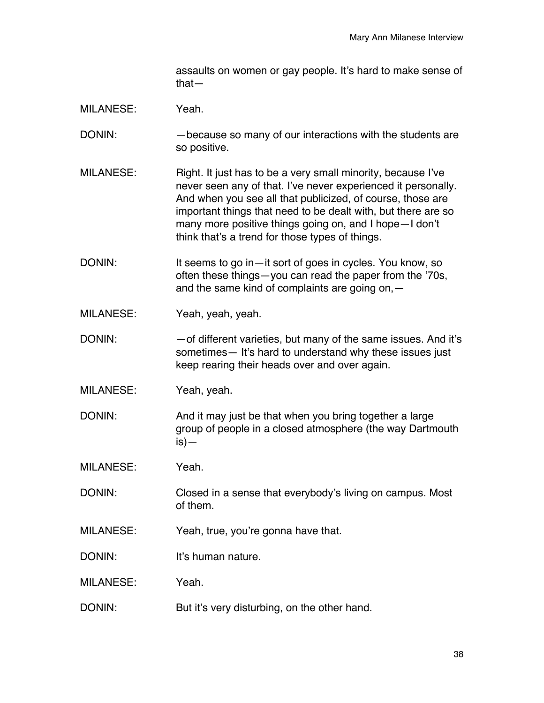assaults on women or gay people. It's hard to make sense of that—

- MILANESE: Yeah.
- DONIN: —because so many of our interactions with the students are so positive.
- MILANESE: Right. It just has to be a very small minority, because I've never seen any of that. I've never experienced it personally. And when you see all that publicized, of course, those are important things that need to be dealt with, but there are so many more positive things going on, and I hope—I don't think that's a trend for those types of things.
- DONIN: It seems to go in—it sort of goes in cycles. You know, so often these things—you can read the paper from the '70s, and the same kind of complaints are going on,—
- MILANESE: Yeah, yeah, yeah.
- DONIN:  $-$  of different varieties, but many of the same issues. And it's sometimes— It's hard to understand why these issues just keep rearing their heads over and over again.
- MILANESE: Yeah, yeah.
- DONIN: And it may just be that when you bring together a large group of people in a closed atmosphere (the way Dartmouth is)—
- MILANESE: Yeah.
- DONIN: Closed in a sense that everybody's living on campus. Most of them.
- MILANESE: Yeah, true, you're gonna have that.
- DONIN: It's human nature.
- MILANESE: Yeah.
- DONIN: But it's very disturbing, on the other hand.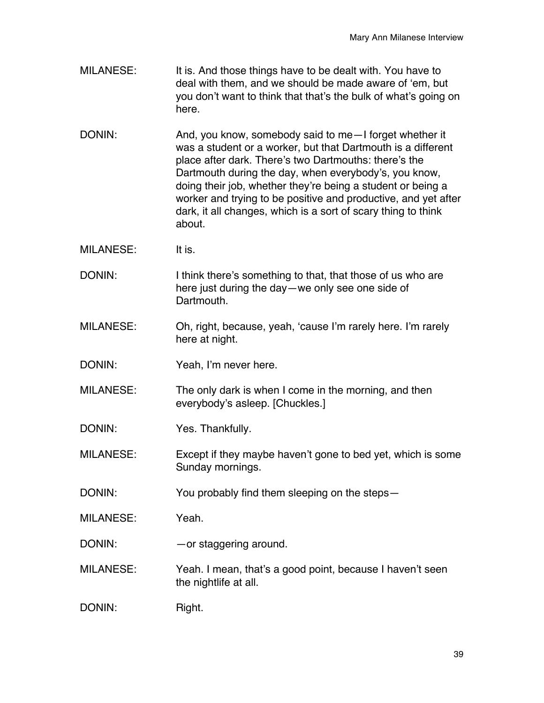- MILANESE: It is. And those things have to be dealt with. You have to deal with them, and we should be made aware of 'em, but you don't want to think that that's the bulk of what's going on here.
- DONIN: And, you know, somebody said to me-I forget whether it was a student or a worker, but that Dartmouth is a different place after dark. There's two Dartmouths: there's the Dartmouth during the day, when everybody's, you know, doing their job, whether they're being a student or being a worker and trying to be positive and productive, and yet after dark, it all changes, which is a sort of scary thing to think about.
- MILANESE: It is.
- DONIN: I think there's something to that, that those of us who are here just during the day—we only see one side of Dartmouth.
- MILANESE: Oh, right, because, yeah, 'cause I'm rarely here. I'm rarely here at night.
- DONIN: Yeah, I'm never here.
- MILANESE: The only dark is when I come in the morning, and then everybody's asleep. [Chuckles.]
- DONIN: Yes. Thankfully.
- MILANESE: Except if they maybe haven't gone to bed yet, which is some Sunday mornings.
- DONIN: You probably find them sleeping on the steps-
- MILANESE: Yeah.
- DONIN: — or staggering around.
- MILANESE: Yeah. I mean, that's a good point, because I haven't seen the nightlife at all.
- DONIN: Right.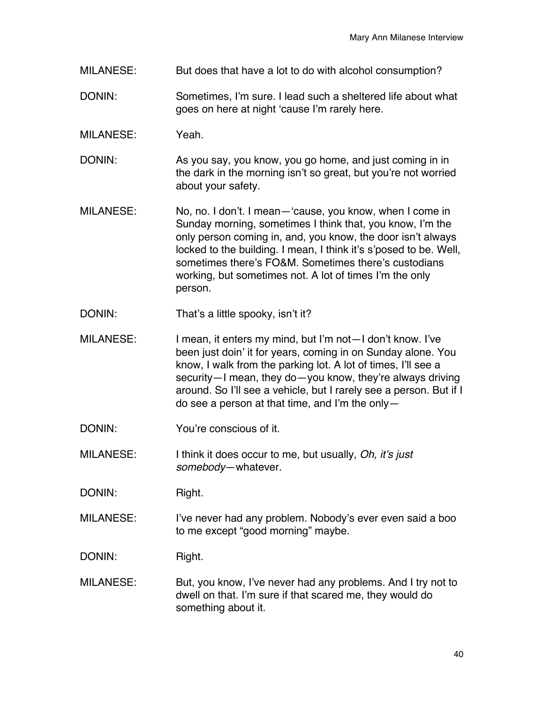- MILANESE: But does that have a lot to do with alcohol consumption?
- DONIN: Sometimes, I'm sure. I lead such a sheltered life about what goes on here at night 'cause I'm rarely here.
- MILANESE: Yeah.
- DONIN: As you say, you know, you go home, and just coming in in the dark in the morning isn't so great, but you're not worried about your safety.
- MILANESE: No, no. I don't. I mean—'cause, you know, when I come in Sunday morning, sometimes I think that, you know, I'm the only person coming in, and, you know, the door isn't always locked to the building. I mean, I think it's s'posed to be. Well, sometimes there's FO&M. Sometimes there's custodians working, but sometimes not. A lot of times I'm the only person.
- DONIN: That's a little spooky, isn't it?
- MILANESE: I mean, it enters my mind, but I'm not—I don't know. I've been just doin' it for years, coming in on Sunday alone. You know, I walk from the parking lot. A lot of times, I'll see a security—I mean, they do—you know, they're always driving around. So I'll see a vehicle, but I rarely see a person. But if I do see a person at that time, and I'm the only—
- DONIN: You're conscious of it.
- MILANESE: I think it does occur to me, but usually, *Oh, it's just somebody*—whatever.

DONIN: Right.

- MILANESE: I've never had any problem. Nobody's ever even said a boo to me except "good morning" maybe.
- DONIN: Right.
- MILANESE: But, you know, I've never had any problems. And I try not to dwell on that. I'm sure if that scared me, they would do something about it.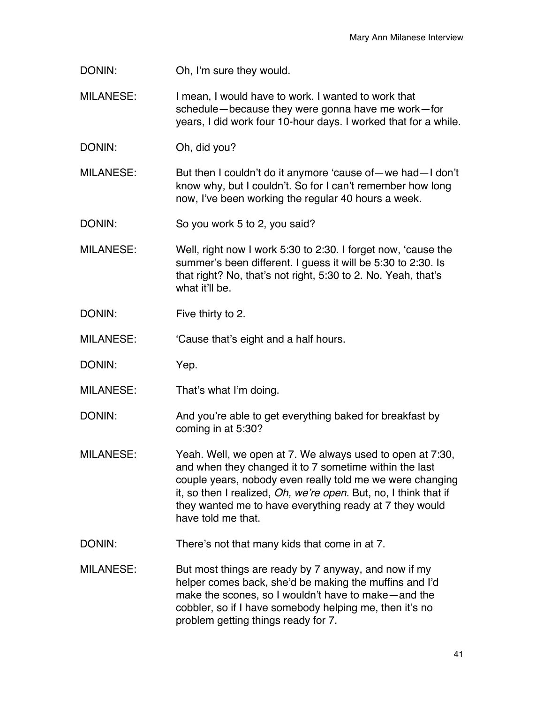DONIN: Oh, I'm sure they would.

- MILANESE: I mean, I would have to work. I wanted to work that schedule—because they were gonna have me work—for years, I did work four 10-hour days. I worked that for a while.
- DONIN: Oh, did you?

MILANESE: But then I couldn't do it anymore 'cause of—we had—I don't know why, but I couldn't. So for I can't remember how long now, I've been working the regular 40 hours a week.

DONIN: So you work 5 to 2, you said?

- MILANESE: Well, right now I work 5:30 to 2:30. I forget now, 'cause the summer's been different. I guess it will be 5:30 to 2:30. Is that right? No, that's not right, 5:30 to 2. No. Yeah, that's what it'll be.
- DONIN: Five thirty to 2.

MILANESE: 'Cause that's eight and a half hours.

- DONIN: Yep.
- MILANESE: That's what I'm doing.
- DONIN: And you're able to get everything baked for breakfast by coming in at 5:30?
- MILANESE: Yeah. Well, we open at 7. We always used to open at 7:30, and when they changed it to 7 sometime within the last couple years, nobody even really told me we were changing it, so then I realized, *Oh, we're open*. But, no, I think that if they wanted me to have everything ready at 7 they would have told me that.
- DONIN: There's not that many kids that come in at 7.
- MILANESE: But most things are ready by 7 anyway, and now if my helper comes back, she'd be making the muffins and I'd make the scones, so I wouldn't have to make—and the cobbler, so if I have somebody helping me, then it's no problem getting things ready for 7.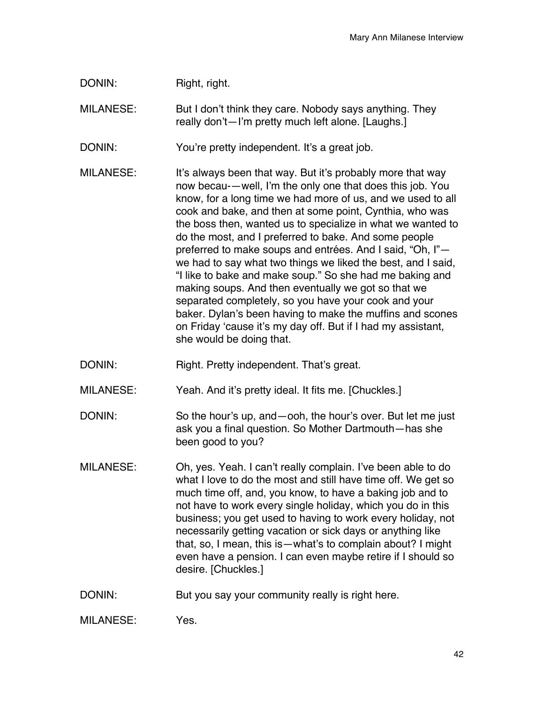| DONIN:           | Right, right.                                                                                                                                                                                                                                                                                                                                                                                                                                                                                                                                                                                                                                                                                                                                                                                                                              |
|------------------|--------------------------------------------------------------------------------------------------------------------------------------------------------------------------------------------------------------------------------------------------------------------------------------------------------------------------------------------------------------------------------------------------------------------------------------------------------------------------------------------------------------------------------------------------------------------------------------------------------------------------------------------------------------------------------------------------------------------------------------------------------------------------------------------------------------------------------------------|
| <b>MILANESE:</b> | But I don't think they care. Nobody says anything. They<br>really don't-I'm pretty much left alone. [Laughs.]                                                                                                                                                                                                                                                                                                                                                                                                                                                                                                                                                                                                                                                                                                                              |
| DONIN:           | You're pretty independent. It's a great job.                                                                                                                                                                                                                                                                                                                                                                                                                                                                                                                                                                                                                                                                                                                                                                                               |
| <b>MILANESE:</b> | It's always been that way. But it's probably more that way<br>now becau--well, I'm the only one that does this job. You<br>know, for a long time we had more of us, and we used to all<br>cook and bake, and then at some point, Cynthia, who was<br>the boss then, wanted us to specialize in what we wanted to<br>do the most, and I preferred to bake. And some people<br>preferred to make soups and entrées. And I said, "Oh, I"-<br>we had to say what two things we liked the best, and I said,<br>"I like to bake and make soup." So she had me baking and<br>making soups. And then eventually we got so that we<br>separated completely, so you have your cook and your<br>baker. Dylan's been having to make the muffins and scones<br>on Friday 'cause it's my day off. But if I had my assistant,<br>she would be doing that. |
| DONIN:           | Right. Pretty independent. That's great.                                                                                                                                                                                                                                                                                                                                                                                                                                                                                                                                                                                                                                                                                                                                                                                                   |
| <b>MILANESE:</b> | Yeah. And it's pretty ideal. It fits me. [Chuckles.]                                                                                                                                                                                                                                                                                                                                                                                                                                                                                                                                                                                                                                                                                                                                                                                       |
| DONIN:           | So the hour's up, and - ooh, the hour's over. But let me just<br>ask you a final question. So Mother Dartmouth-has she<br>been good to you?                                                                                                                                                                                                                                                                                                                                                                                                                                                                                                                                                                                                                                                                                                |
| <b>MILANESE:</b> | Oh, yes. Yeah. I can't really complain. I've been able to do<br>what I love to do the most and still have time off. We get so<br>much time off, and, you know, to have a baking job and to<br>not have to work every single holiday, which you do in this<br>business; you get used to having to work every holiday, not<br>necessarily getting vacation or sick days or anything like<br>that, so, I mean, this is - what's to complain about? I might<br>even have a pension. I can even maybe retire if I should so<br>desire. [Chuckles.]                                                                                                                                                                                                                                                                                              |
|                  |                                                                                                                                                                                                                                                                                                                                                                                                                                                                                                                                                                                                                                                                                                                                                                                                                                            |
| DONIN:           | But you say your community really is right here.                                                                                                                                                                                                                                                                                                                                                                                                                                                                                                                                                                                                                                                                                                                                                                                           |

MILANESE: Yes.